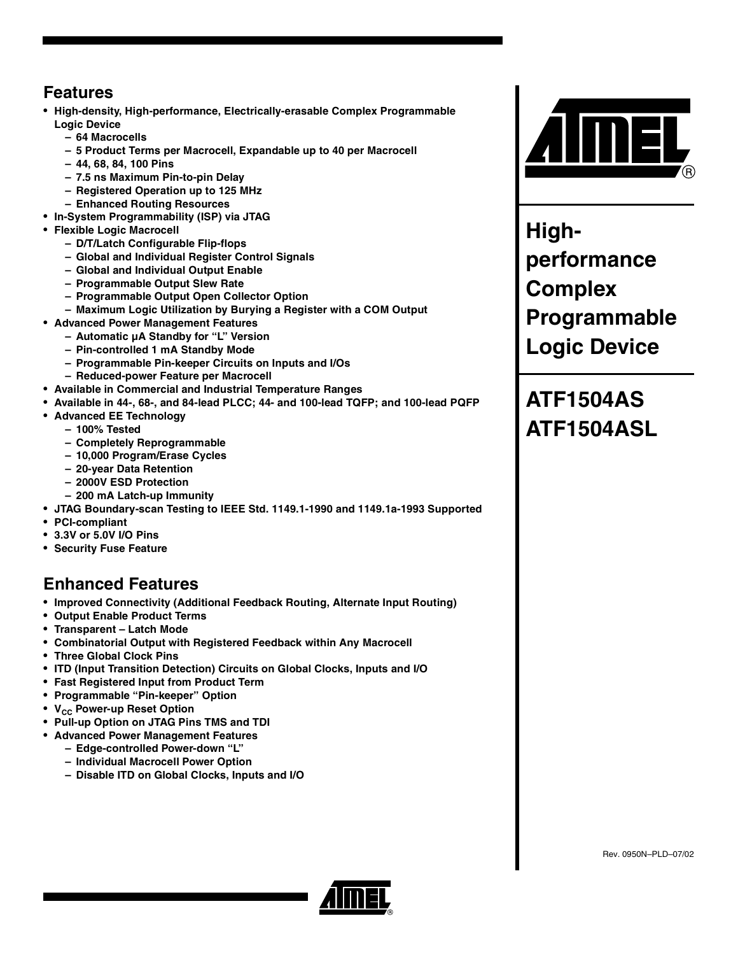#### **Features**

- **High-density, High-performance, Electrically-erasable Complex Programmable Logic Device**
	- **64 Macrocells**
	- **5 Product Terms per Macrocell, Expandable up to 40 per Macrocell**
	- **44, 68, 84, 100 Pins**
	- **7.5 ns Maximum Pin-to-pin Delay**
	- **Registered Operation up to 125 MHz**
	- **Enhanced Routing Resources**
- **In-System Programmability (ISP) via JTAG**
- **Flexible Logic Macrocell**
	- **D/T/Latch Configurable Flip-flops**
	- **Global and Individual Register Control Signals**
	- **Global and Individual Output Enable**
	- **Programmable Output Slew Rate**
	- **Programmable Output Open Collector Option**
	- **Maximum Logic Utilization by Burying a Register with a COM Output**
- **Advanced Power Management Features**
	- **Automatic µA Standby for "L" Version**
	- **Pin-controlled 1 mA Standby Mode**
	- **Programmable Pin-keeper Circuits on Inputs and I/Os**
	- **Reduced-power Feature per Macrocell**
- **Available in Commercial and Industrial Temperature Ranges**
- **Available in 44-, 68-, and 84-lead PLCC; 44- and 100-lead TQFP; and 100-lead PQFP**
- **Advanced EE Technology**
	- **100% Tested**
	- **Completely Reprogrammable**
	- **10,000 Program/Erase Cycles**
	- **20-year Data Retention**
	- **2000V ESD Protection**
	- **200 mA Latch-up Immunity**
- **JTAG Boundary-scan Testing to IEEE Std. 1149.1-1990 and 1149.1a-1993 Supported**
- **PCI-compliant**
- **3.3V or 5.0V I/O Pins**
- **Security Fuse Feature**

#### **Enhanced Features**

- **Improved Connectivity (Additional Feedback Routing, Alternate Input Routing)**
- **Output Enable Product Terms**
- **Transparent Latch Mode**
- **Combinatorial Output with Registered Feedback within Any Macrocell**
- **Three Global Clock Pins**
- **ITD (Input Transition Detection) Circuits on Global Clocks, Inputs and I/O**
- **Fast Registered Input from Product Term**
- **Programmable "Pin-keeper" Option**
- **V<sub>CC</sub>** Power-up Reset Option
- **Pull-up Option on JTAG Pins TMS and TDI**
- **Advanced Power Management Features**
	- **Edge-controlled Power-down "L"**
	- **Individual Macrocell Power Option**
	- **Disable ITD on Global Clocks, Inputs and I/O**



**Highperformance Complex Programmable Logic Device**

# **ATF1504AS ATF1504ASL**

Rev. 0950N–PLD–07/02

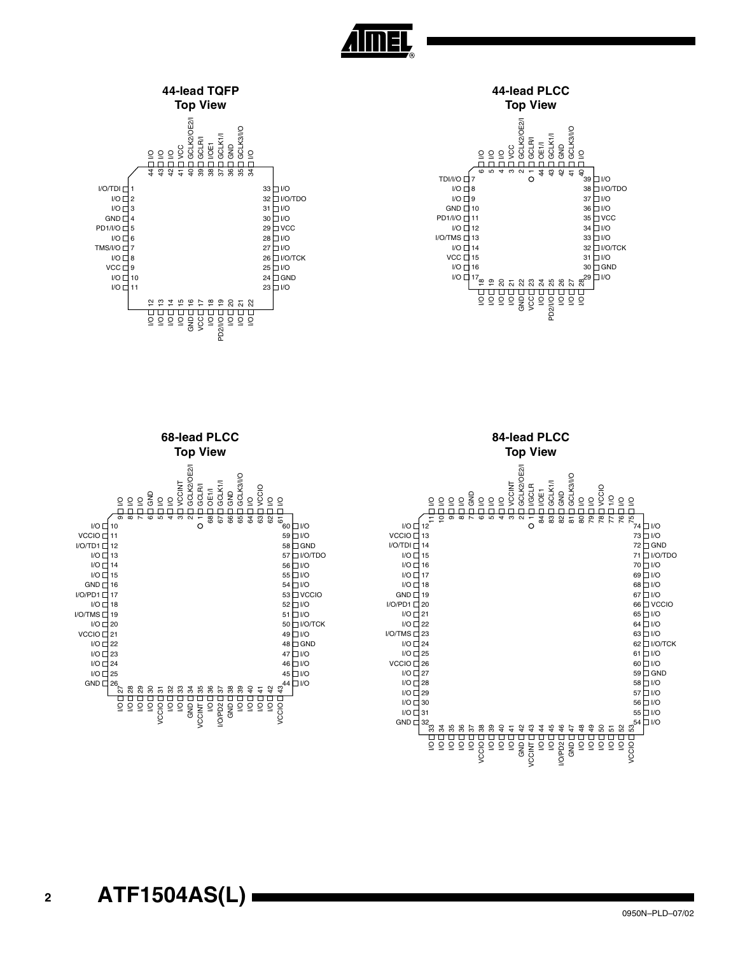





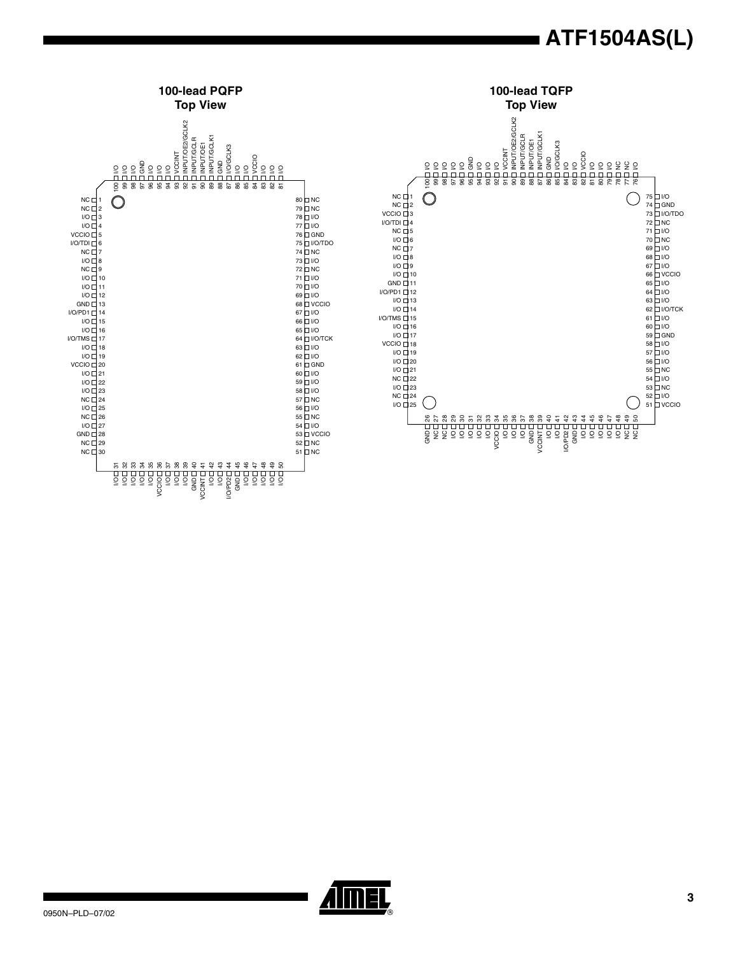

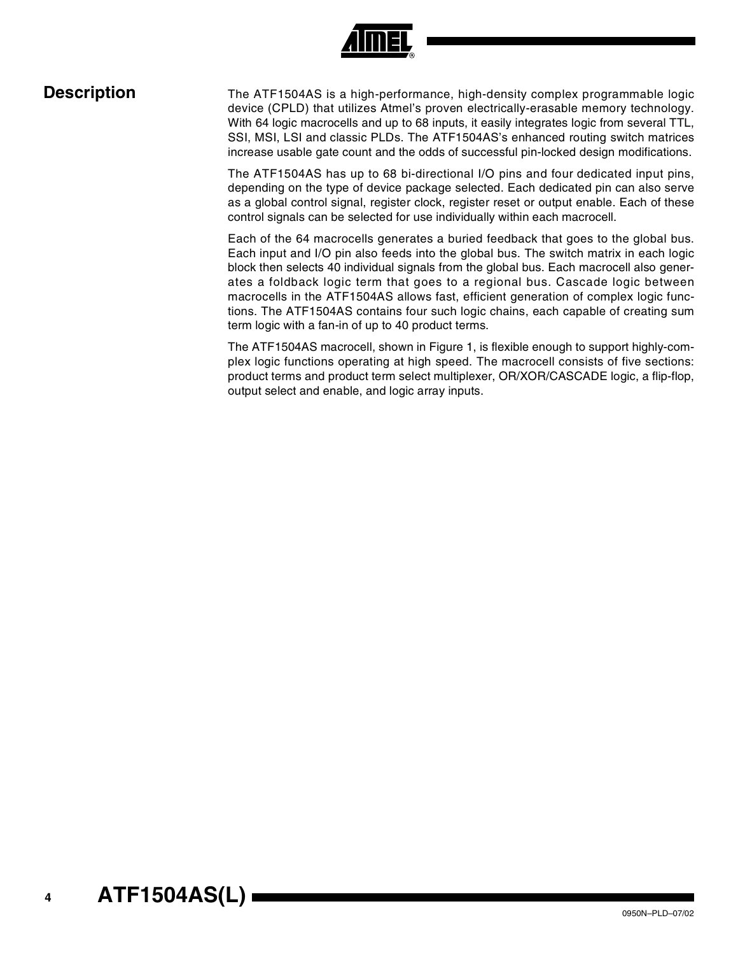

**Description** The ATF1504AS is a high-performance, high-density complex programmable logic device (CPLD) that utilizes Atmel's proven electrically-erasable memory technology. With 64 logic macrocells and up to 68 inputs, it easily integrates logic from several TTL, SSI, MSI, LSI and classic PLDs. The ATF1504AS's enhanced routing switch matrices increase usable gate count and the odds of successful pin-locked design modifications.

> The ATF1504AS has up to 68 bi-directional I/O pins and four dedicated input pins, depending on the type of device package selected. Each dedicated pin can also serve as a global control signal, register clock, register reset or output enable. Each of these control signals can be selected for use individually within each macrocell.

> Each of the 64 macrocells generates a buried feedback that goes to the global bus. Each input and I/O pin also feeds into the global bus. The switch matrix in each logic block then selects 40 individual signals from the global bus. Each macrocell also generates a foldback logic term that goes to a regional bus. Cascade logic between macrocells in the ATF1504AS allows fast, efficient generation of complex logic functions. The ATF1504AS contains four such logic chains, each capable of creating sum term logic with a fan-in of up to 40 product terms.

> The ATF1504AS macrocell, shown in Figure 1, is flexible enough to support highly-complex logic functions operating at high speed. The macrocell consists of five sections: product terms and product term select multiplexer, OR/XOR/CASCADE logic, a flip-flop, output select and enable, and logic array inputs.

# **<sup>4</sup> ATF1504AS(L)**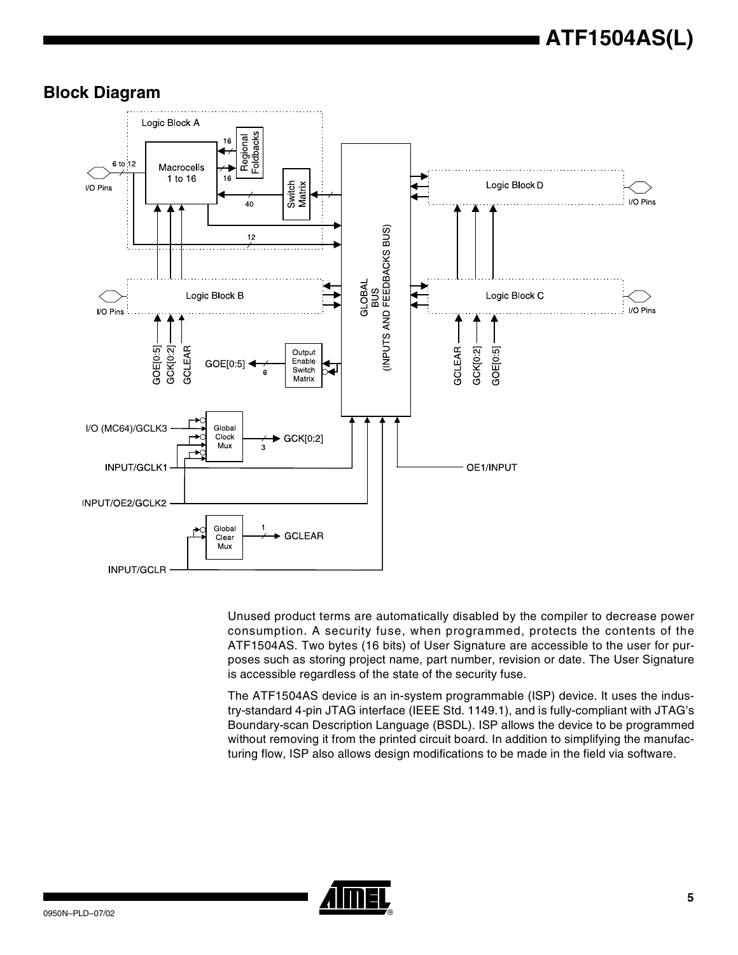



Unused product terms are automatically disabled by the compiler to decrease power consumption. A security fuse, when programmed, protects the contents of the ATF1504AS. Two bytes (16 bits) of User Signature are accessible to the user for purposes such as storing project name, part number, revision or date. The User Signature is accessible regardless of the state of the security fuse.

The ATF1504AS device is an in-system programmable (ISP) device. It uses the industry-standard 4-pin JTAG interface (IEEE Std. 1149.1), and is fully-compliant with JTAG's Boundary-scan Description Language (BSDL). ISP allows the device to be programmed without removing it from the printed circuit board. In addition to simplifying the manufacturing flow, ISP also allows design modifications to be made in the field via software.

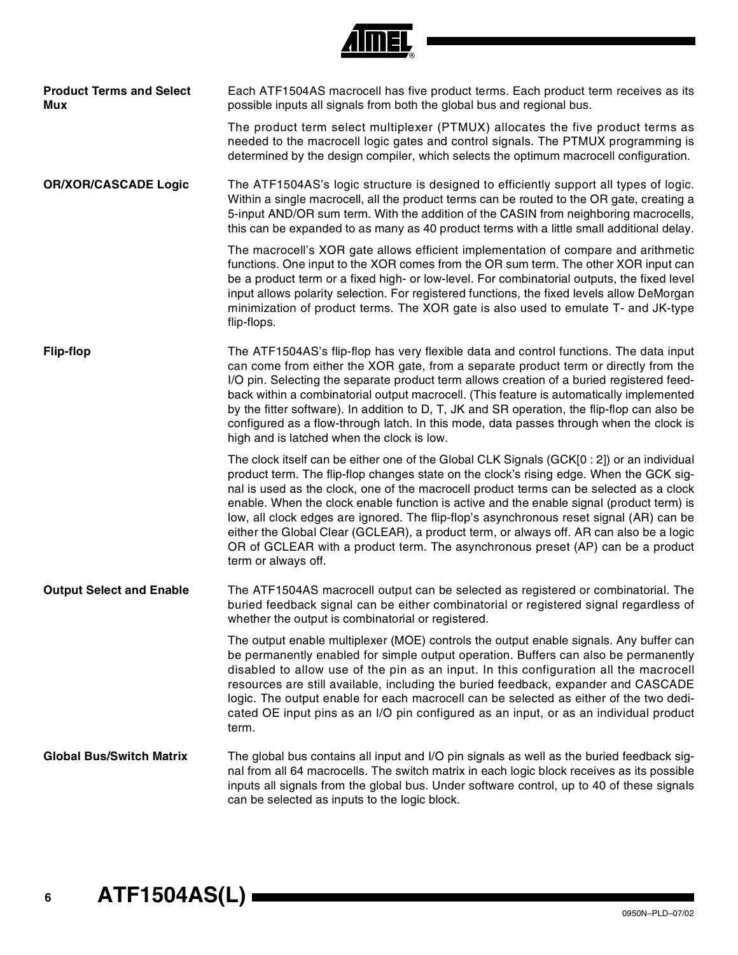|  | л |
|--|---|

| <b>Product Terms and Select</b><br>Mux | Each ATF1504AS macrocell has five product terms. Each product term receives as its<br>possible inputs all signals from both the global bus and regional bus.                                                                                                                                                                                                                                                                                                                                                                                                                                                                                                                 |
|----------------------------------------|------------------------------------------------------------------------------------------------------------------------------------------------------------------------------------------------------------------------------------------------------------------------------------------------------------------------------------------------------------------------------------------------------------------------------------------------------------------------------------------------------------------------------------------------------------------------------------------------------------------------------------------------------------------------------|
|                                        | The product term select multiplexer (PTMUX) allocates the five product terms as<br>needed to the macrocell logic gates and control signals. The PTMUX programming is<br>determined by the design compiler, which selects the optimum macrocell configuration.                                                                                                                                                                                                                                                                                                                                                                                                                |
| <b>OR/XOR/CASCADE Logic</b>            | The ATF1504AS's logic structure is designed to efficiently support all types of logic.<br>Within a single macrocell, all the product terms can be routed to the OR gate, creating a<br>5-input AND/OR sum term. With the addition of the CASIN from neighboring macrocells,<br>this can be expanded to as many as 40 product terms with a little small additional delay.                                                                                                                                                                                                                                                                                                     |
|                                        | The macrocell's XOR gate allows efficient implementation of compare and arithmetic<br>functions. One input to the XOR comes from the OR sum term. The other XOR input can<br>be a product term or a fixed high- or low-level. For combinatorial outputs, the fixed level<br>input allows polarity selection. For registered functions, the fixed levels allow DeMorgan<br>minimization of product terms. The XOR gate is also used to emulate T- and JK-type<br>flip-flops.                                                                                                                                                                                                  |
| <b>Flip-flop</b>                       | The ATF1504AS's flip-flop has very flexible data and control functions. The data input<br>can come from either the XOR gate, from a separate product term or directly from the<br>I/O pin. Selecting the separate product term allows creation of a buried registered feed-<br>back within a combinatorial output macrocell. (This feature is automatically implemented<br>by the fitter software). In addition to D, T, JK and SR operation, the flip-flop can also be<br>configured as a flow-through latch. In this mode, data passes through when the clock is<br>high and is latched when the clock is low.                                                             |
|                                        | The clock itself can be either one of the Global CLK Signals (GCK[0 : 2]) or an individual<br>product term. The flip-flop changes state on the clock's rising edge. When the GCK sig-<br>nal is used as the clock, one of the macrocell product terms can be selected as a clock<br>enable. When the clock enable function is active and the enable signal (product term) is<br>low, all clock edges are ignored. The flip-flop's asynchronous reset signal (AR) can be<br>either the Global Clear (GCLEAR), a product term, or always off. AR can also be a logic<br>OR of GCLEAR with a product term. The asynchronous preset (AP) can be a product<br>term or always off. |
| <b>Output Select and Enable</b>        | The ATF1504AS macrocell output can be selected as registered or combinatorial. The<br>buried feedback signal can be either combinatorial or registered signal regardless of<br>whether the output is combinatorial or registered.                                                                                                                                                                                                                                                                                                                                                                                                                                            |
|                                        | The output enable multiplexer (MOE) controls the output enable signals. Any buffer can<br>be permanently enabled for simple output operation. Buffers can also be permanently<br>disabled to allow use of the pin as an input. In this configuration all the macrocell<br>resources are still available, including the buried feedback, expander and CASCADE<br>logic. The output enable for each macrocell can be selected as either of the two dedi-<br>cated OE input pins as an I/O pin configured as an input, or as an individual product<br>term.                                                                                                                     |
| <b>Global Bus/Switch Matrix</b>        | The global bus contains all input and I/O pin signals as well as the buried feedback sig-<br>nal from all 64 macrocells. The switch matrix in each logic block receives as its possible<br>inputs all signals from the global bus. Under software control, up to 40 of these signals<br>can be selected as inputs to the logic block.                                                                                                                                                                                                                                                                                                                                        |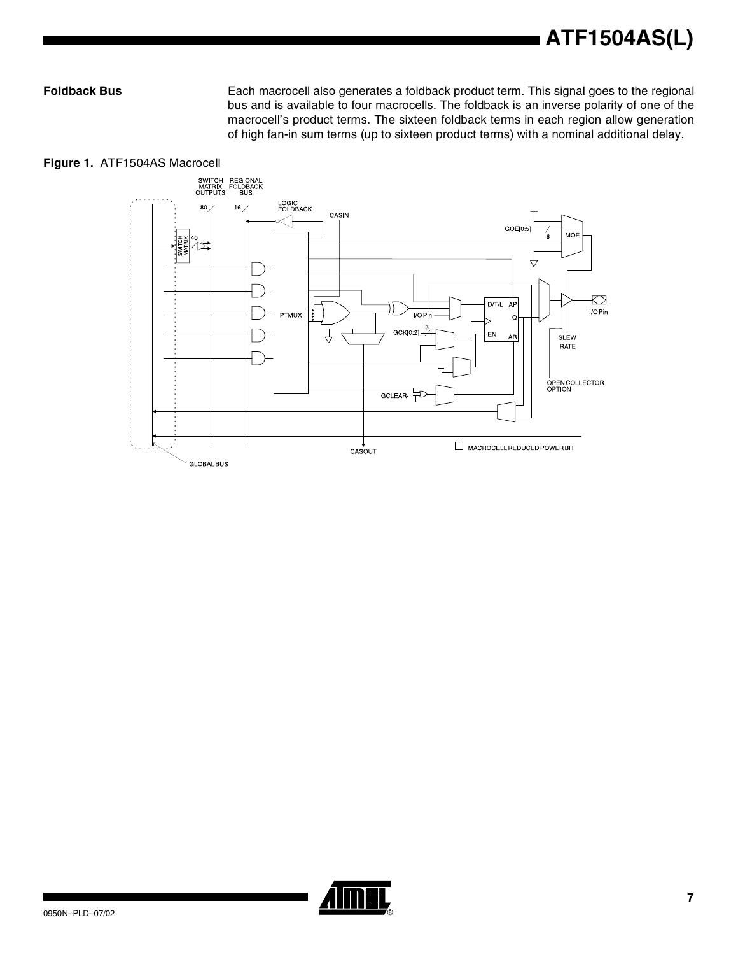Foldback Bus **Each macrocell also generates a foldback product term.** This signal goes to the regional bus and is available to four macrocells. The foldback is an inverse polarity of one of the macrocell's product terms. The sixteen foldback terms in each region allow generation of high fan-in sum terms (up to sixteen product terms) with a nominal additional delay.





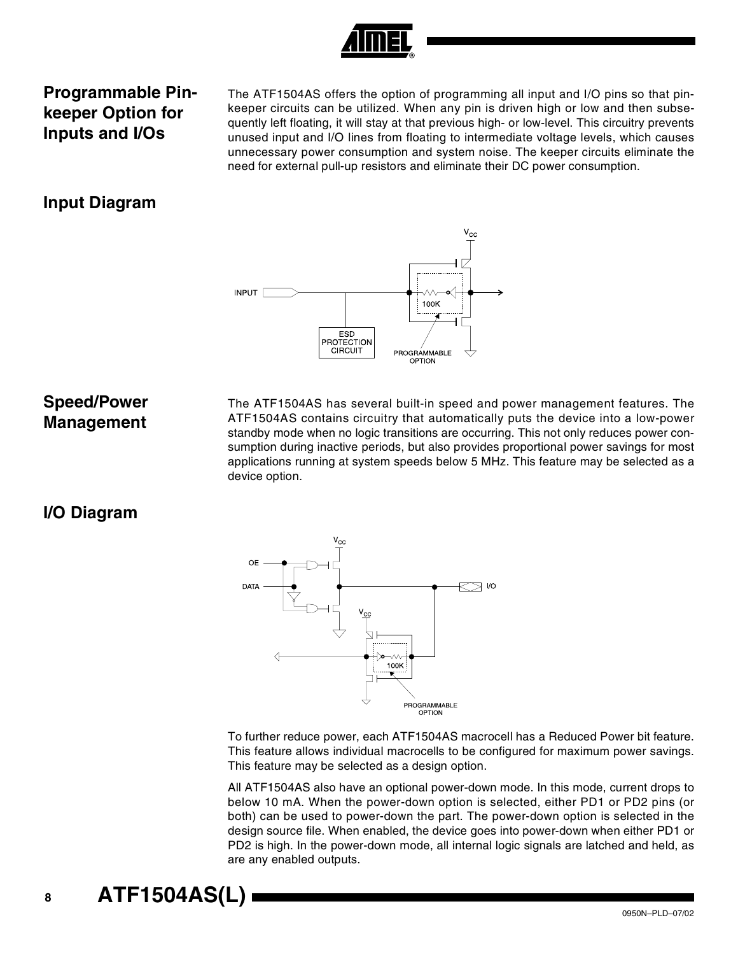

### **Programmable Pinkeeper Option for Inputs and I/Os**

The ATF1504AS offers the option of programming all input and I/O pins so that pinkeeper circuits can be utilized. When any pin is driven high or low and then subsequently left floating, it will stay at that previous high- or low-level. This circuitry prevents unused input and I/O lines from floating to intermediate voltage levels, which causes unnecessary power consumption and system noise. The keeper circuits eliminate the need for external pull-up resistors and eliminate their DC power consumption.

#### **Input Diagram**



#### **Speed/Power Management**

The ATF1504AS has several built-in speed and power management features. The ATF1504AS contains circuitry that automatically puts the device into a low-power standby mode when no logic transitions are occurring. This not only reduces power consumption during inactive periods, but also provides proportional power savings for most applications running at system speeds below 5 MHz. This feature may be selected as a device option.

#### **I/O Diagram**



To further reduce power, each ATF1504AS macrocell has a Reduced Power bit feature. This feature allows individual macrocells to be configured for maximum power savings. This feature may be selected as a design option.

All ATF1504AS also have an optional power-down mode. In this mode, current drops to below 10 mA. When the power-down option is selected, either PD1 or PD2 pins (or both) can be used to power-down the part. The power-down option is selected in the design source file. When enabled, the device goes into power-down when either PD1 or PD2 is high. In the power-down mode, all internal logic signals are latched and held, as are any enabled outputs.

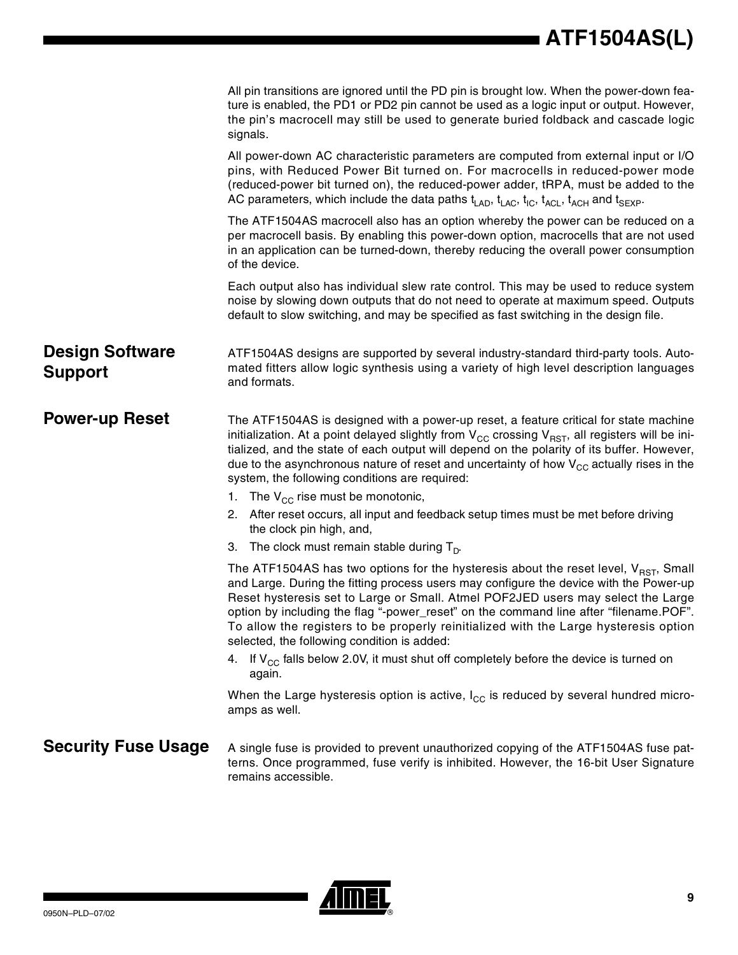|                                          | All pin transitions are ignored until the PD pin is brought low. When the power-down fea-<br>ture is enabled, the PD1 or PD2 pin cannot be used as a logic input or output. However,<br>the pin's macrocell may still be used to generate buried foldback and cascade logic<br>signals.                                                                                                                                                                                                                 |
|------------------------------------------|---------------------------------------------------------------------------------------------------------------------------------------------------------------------------------------------------------------------------------------------------------------------------------------------------------------------------------------------------------------------------------------------------------------------------------------------------------------------------------------------------------|
|                                          | All power-down AC characteristic parameters are computed from external input or I/O<br>pins, with Reduced Power Bit turned on. For macrocells in reduced-power mode<br>(reduced-power bit turned on), the reduced-power adder, tRPA, must be added to the<br>AC parameters, which include the data paths $t_{\text{LAD}}$ , $t_{\text{LAC}}$ , $t_{\text{IC}}$ , $t_{\text{ACL}}$ , $t_{\text{ACH}}$ and $t_{\text{SEXP}}$ .                                                                            |
|                                          | The ATF1504AS macrocell also has an option whereby the power can be reduced on a<br>per macrocell basis. By enabling this power-down option, macrocells that are not used<br>in an application can be turned-down, thereby reducing the overall power consumption<br>of the device.                                                                                                                                                                                                                     |
|                                          | Each output also has individual slew rate control. This may be used to reduce system<br>noise by slowing down outputs that do not need to operate at maximum speed. Outputs<br>default to slow switching, and may be specified as fast switching in the design file.                                                                                                                                                                                                                                    |
| <b>Design Software</b><br><b>Support</b> | ATF1504AS designs are supported by several industry-standard third-party tools. Auto-<br>mated fitters allow logic synthesis using a variety of high level description languages<br>and formats.                                                                                                                                                                                                                                                                                                        |
| <b>Power-up Reset</b>                    | The ATF1504AS is designed with a power-up reset, a feature critical for state machine<br>initialization. At a point delayed slightly from $V_{CC}$ crossing $V_{RST}$ , all registers will be ini-<br>tialized, and the state of each output will depend on the polarity of its buffer. However,<br>due to the asynchronous nature of reset and uncertainty of how $V_{CC}$ actually rises in the<br>system, the following conditions are required:<br>1. The $V_{CC}$ rise must be monotonic,          |
|                                          | 2. After reset occurs, all input and feedback setup times must be met before driving<br>the clock pin high, and,<br>3. The clock must remain stable during $T_{p}$ .                                                                                                                                                                                                                                                                                                                                    |
|                                          | The ATF1504AS has two options for the hysteresis about the reset level, $V_{RST}$ , Small<br>and Large. During the fitting process users may configure the device with the Power-up<br>Reset hysteresis set to Large or Small. Atmel POF2JED users may select the Large<br>option by including the flag "-power_reset" on the command line after "filename.POF".<br>To allow the registers to be properly reinitialized with the Large hysteresis option<br>selected, the following condition is added: |
|                                          | 4. If $V_{CC}$ falls below 2.0V, it must shut off completely before the device is turned on<br>again.                                                                                                                                                                                                                                                                                                                                                                                                   |
|                                          | When the Large hysteresis option is active, $I_{CC}$ is reduced by several hundred micro-<br>amps as well.                                                                                                                                                                                                                                                                                                                                                                                              |
| <b>Security Fuse Usage</b>               | A single fuse is provided to prevent unauthorized copying of the ATF1504AS fuse pat-<br>terns. Once programmed, fuse verify is inhibited. However, the 16-bit User Signature<br>remains accessible.                                                                                                                                                                                                                                                                                                     |

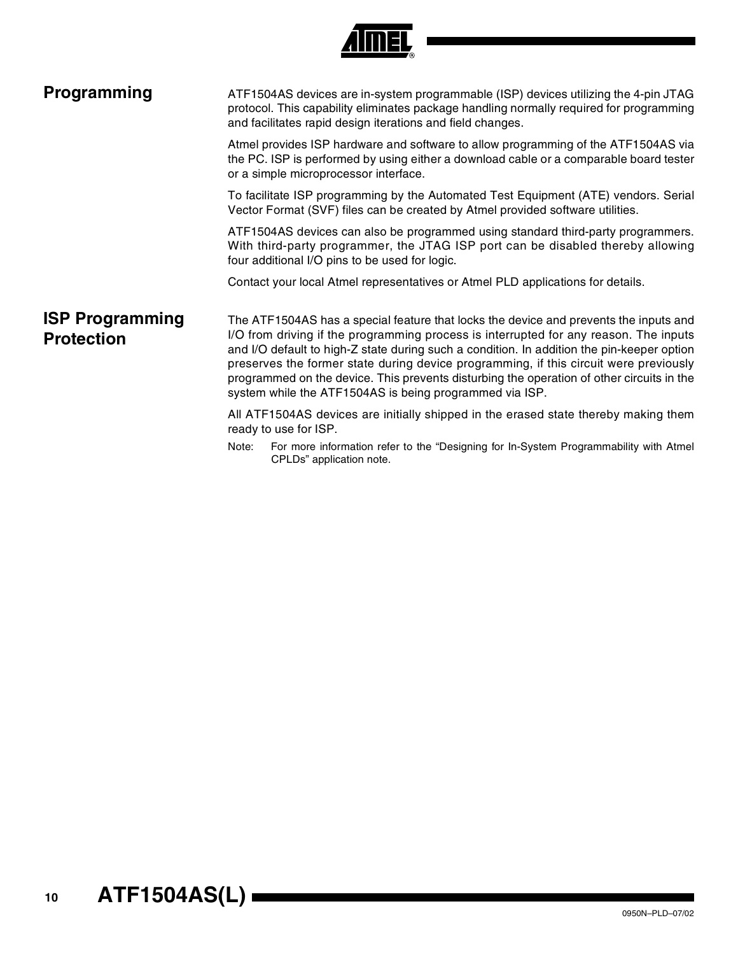

| Programming                                 | ATF1504AS devices are in-system programmable (ISP) devices utilizing the 4-pin JTAG<br>protocol. This capability eliminates package handling normally required for programming<br>and facilitates rapid design iterations and field changes. |                                                                                                                                                                                                                                                                                                                                                                                                                                                                                                                               |  |  |  |  |  |  |  |  |
|---------------------------------------------|----------------------------------------------------------------------------------------------------------------------------------------------------------------------------------------------------------------------------------------------|-------------------------------------------------------------------------------------------------------------------------------------------------------------------------------------------------------------------------------------------------------------------------------------------------------------------------------------------------------------------------------------------------------------------------------------------------------------------------------------------------------------------------------|--|--|--|--|--|--|--|--|
|                                             |                                                                                                                                                                                                                                              | Atmel provides ISP hardware and software to allow programming of the ATF1504AS via<br>the PC. ISP is performed by using either a download cable or a comparable board tester<br>or a simple microprocessor interface.                                                                                                                                                                                                                                                                                                         |  |  |  |  |  |  |  |  |
|                                             |                                                                                                                                                                                                                                              | To facilitate ISP programming by the Automated Test Equipment (ATE) vendors. Serial<br>Vector Format (SVF) files can be created by Atmel provided software utilities.                                                                                                                                                                                                                                                                                                                                                         |  |  |  |  |  |  |  |  |
|                                             |                                                                                                                                                                                                                                              | ATF1504AS devices can also be programmed using standard third-party programmers.<br>With third-party programmer, the JTAG ISP port can be disabled thereby allowing<br>four additional I/O pins to be used for logic.                                                                                                                                                                                                                                                                                                         |  |  |  |  |  |  |  |  |
|                                             |                                                                                                                                                                                                                                              | Contact your local Atmel representatives or Atmel PLD applications for details.                                                                                                                                                                                                                                                                                                                                                                                                                                               |  |  |  |  |  |  |  |  |
| <b>ISP Programming</b><br><b>Protection</b> |                                                                                                                                                                                                                                              | The ATF1504AS has a special feature that locks the device and prevents the inputs and<br>I/O from driving if the programming process is interrupted for any reason. The inputs<br>and I/O default to high-Z state during such a condition. In addition the pin-keeper option<br>preserves the former state during device programming, if this circuit were previously<br>programmed on the device. This prevents disturbing the operation of other circuits in the<br>system while the ATF1504AS is being programmed via ISP. |  |  |  |  |  |  |  |  |
|                                             | All ATF1504AS devices are initially shipped in the erased state thereby making them<br>ready to use for ISP.                                                                                                                                 |                                                                                                                                                                                                                                                                                                                                                                                                                                                                                                                               |  |  |  |  |  |  |  |  |
|                                             | Note:                                                                                                                                                                                                                                        | For more information refer to the "Designing for In-System Programmability with Atmel<br>CPLDs" application note.                                                                                                                                                                                                                                                                                                                                                                                                             |  |  |  |  |  |  |  |  |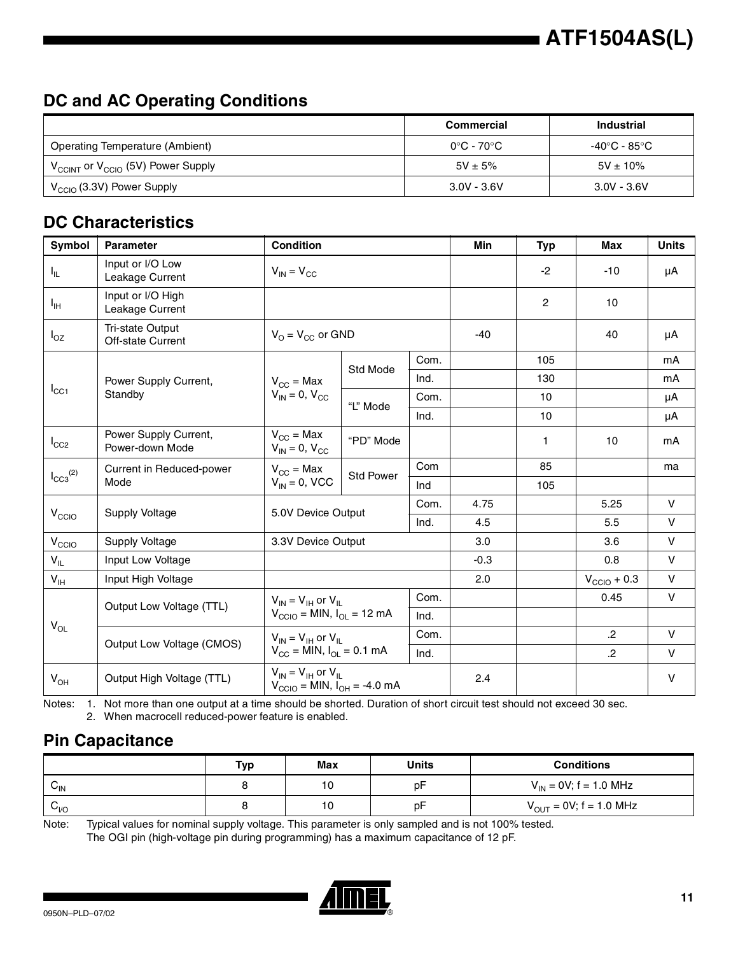## **DC and AC Operating Conditions**

|                                                           | Commercial    | <b>Industrial</b> |
|-----------------------------------------------------------|---------------|-------------------|
| <b>Operating Temperature (Ambient)</b>                    | 0°C - 70°C    | -40°C - 85°C      |
| $V_{\text{CCINT}}$ or $V_{\text{CCIO}}$ (5V) Power Supply | $5V + 5%$     | $5V \pm 10\%$     |
| $V_{\text{CCIO}}$ (3.3V) Power Supply                     | $3.0V - 3.6V$ | $3.0V - 3.6V$     |

### **DC Characteristics**

| Symbol            | <b>Parameter</b>                         | <b>Condition</b>                                                                                                      |                                                         |      | Min    | <b>Typ</b>     | Max                     | <b>Units</b> |
|-------------------|------------------------------------------|-----------------------------------------------------------------------------------------------------------------------|---------------------------------------------------------|------|--------|----------------|-------------------------|--------------|
| $I_{\rm IL}$      | Input or I/O Low<br>Leakage Current      | $V_{IN} = V_{CC}$                                                                                                     |                                                         |      |        | $-2$           | $-10$                   | μA           |
| Iн                | Input or I/O High<br>Leakage Current     |                                                                                                                       |                                                         |      |        | $\overline{c}$ | 10                      |              |
| $I_{OZ}$          | Tri-state Output<br>Off-state Current    | $V_{\Omega} = V_{\text{CC}}$ or GND                                                                                   |                                                         |      | $-40$  |                | 40                      | μA           |
|                   |                                          |                                                                                                                       | Std Mode                                                | Com. |        | 105            |                         | mA           |
|                   | Power Supply Current,                    | $V_{\rm CC}$ = Max                                                                                                    |                                                         | Ind. |        | 130            |                         | mA           |
| $I_{\rm CC1}$     | Standby                                  | $V_{IN} = 0$ , $V_{CC}$                                                                                               | "L" Mode                                                | Com. |        | 10             |                         | μA           |
|                   |                                          |                                                                                                                       |                                                         | Ind. |        | 10             |                         | μA           |
| $I_{CC2}$         | Power Supply Current,<br>Power-down Mode | $V_{\rm CC}$ = Max<br>"PD" Mode<br>$V_{IN} = 0$ , $V_{CC}$                                                            |                                                         |      |        | 1              | 10                      | mA           |
|                   | Current in Reduced-power                 | $V_{\text{CC}}$ = Max                                                                                                 | <b>Std Power</b>                                        | Com  |        | 85             |                         | ma           |
| $I_{CC3}^{(2)}$   | Mode                                     | $V_{IN} = 0$ , VCC                                                                                                    |                                                         | Ind  |        | 105            |                         |              |
|                   | <b>Supply Voltage</b>                    | 5.0V Device Output                                                                                                    |                                                         | Com. | 4.75   |                | 5.25                    | $\mathsf{V}$ |
| V <sub>CCIO</sub> |                                          |                                                                                                                       |                                                         | Ind. | 4.5    |                | 5.5                     | $\mathsf{V}$ |
| V <sub>CCIO</sub> | <b>Supply Voltage</b>                    | 3.3V Device Output                                                                                                    |                                                         |      | 3.0    |                | 3.6                     | V            |
| $V_{IL}$          | Input Low Voltage                        |                                                                                                                       |                                                         |      | $-0.3$ |                | 0.8                     | V            |
| $V_{\text{IH}}$   | Input High Voltage                       |                                                                                                                       |                                                         |      | 2.0    |                | $V_{\text{CCIO}} + 0.3$ | V            |
|                   | Output Low Voltage (TTL)                 | $V_{IN} = V_{IH}$ or $V_{II}$                                                                                         |                                                         | Com. |        |                | 0.45                    | $\mathsf{V}$ |
|                   |                                          | $V_{\text{CCIO}}$ = MIN, $I_{\text{OL}}$ = 12 mA                                                                      |                                                         | Ind. |        |                |                         |              |
| $V_{OL}$          |                                          | $V_{IN} = V_{IH}$ or $V_{II}$                                                                                         |                                                         | Com. |        |                | $\mathbf{.2}$           | $\mathsf{V}$ |
|                   | Output Low Voltage (CMOS)                |                                                                                                                       | $V_{\text{CC}} =$ MIN, $I_{\text{OL}} = 0.1$ mA<br>Ind. |      |        |                | $\mathbf{.2}$           | V            |
| $V_{OH}$          | Output High Voltage (TTL)                | $V_{\text{IN}} = V_{\text{IH}}$ or $V_{\text{II}}$<br>$V_{\text{CCIO}} = \text{MIN}, I_{\text{OH}} = -4.0 \text{ mA}$ |                                                         |      | 2.4    |                |                         | V            |

Notes: 1. Not more than one output at a time should be shorted. Duration of short circuit test should not exceed 30 sec. 2. When macrocell reduced-power feature is enabled.

#### **Pin Capacitance**

|                 | Tvp | <b>Max</b> | <b>Units</b> | <b>Conditions</b>           |
|-----------------|-----|------------|--------------|-----------------------------|
| $v_{\text{IN}}$ |     | 10         | p⊦           | $V_{IN}$ = 0V; f = 1.0 MHz  |
| $G_{VO}$        |     | 10         | p⊦           | $V_{OUT}$ = 0V; f = 1.0 MHz |

Note: Typical values for nominal supply voltage. This parameter is only sampled and is not 100% tested. The OGI pin (high-voltage pin during programming) has a maximum capacitance of 12 pF.

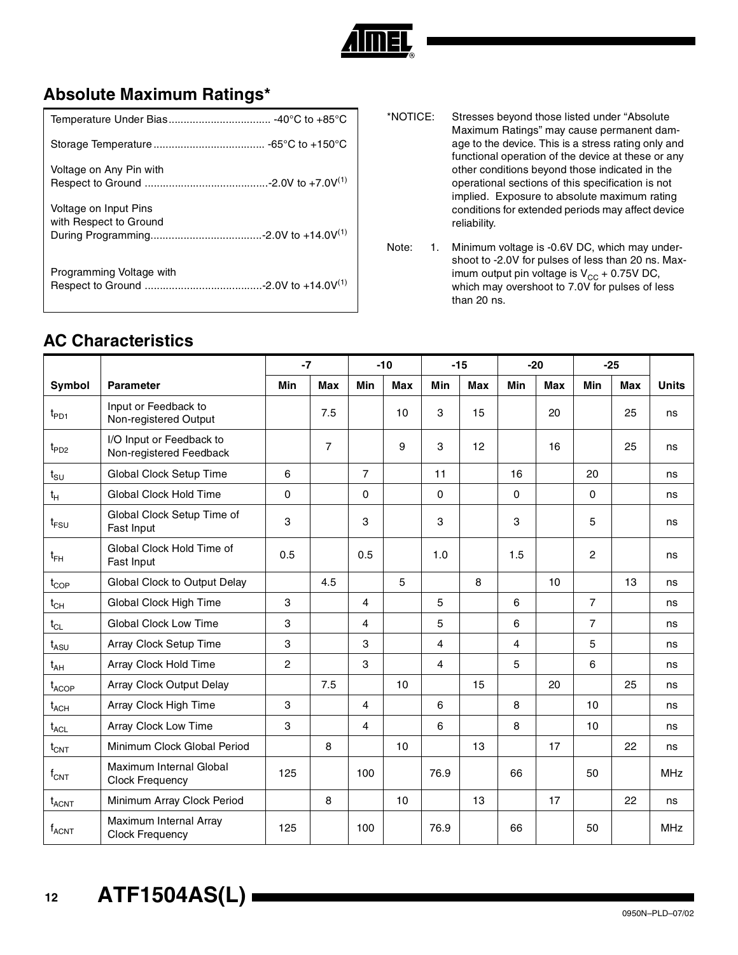

## **Absolute Maximum Ratings\***

| Voltage on Any Pin with                         |
|-------------------------------------------------|
| Voltage on Input Pins<br>with Respect to Ground |
| Programming Voltage with                        |

- \*NOTICE: Stresses beyond those listed under "Absolute Maximum Ratings" may cause permanent damage to the device. This is a stress rating only and functional operation of the device at these or any other conditions beyond those indicated in the operational sections of this specification is not implied. Exposure to absolute maximum rating conditions for extended periods may affect device reliability.
- Note: 1. Minimum voltage is -0.6V DC, which may undershoot to -2.0V for pulses of less than 20 ns. Maximum output pin voltage is  $V_{CC}$  + 0.75V DC, which may overshoot to 7.0V for pulses of less than 20 ns.

#### **AC Characteristics**

|                    |                                                          | $-7$     |                |                | $-10$      | $-15$ |            | $-20$ |            | $-25$          |            |              |
|--------------------|----------------------------------------------------------|----------|----------------|----------------|------------|-------|------------|-------|------------|----------------|------------|--------------|
| Symbol             | <b>Parameter</b>                                         | Min      | <b>Max</b>     | Min            | <b>Max</b> | Min   | <b>Max</b> | Min   | <b>Max</b> | Min            | <b>Max</b> | <b>Units</b> |
| $t_{\mathsf{PD1}}$ | Input or Feedback to<br>Non-registered Output            |          | 7.5            |                | 10         | 3     | 15         |       | 20         |                | 25         | ns           |
| $t_{PD2}$          | I/O Input or Feedback to<br>Non-registered Feedback      |          | $\overline{7}$ |                | 9          | 3     | 12         |       | 16         |                | 25         | ns           |
| $t_{\text{SU}}$    | Global Clock Setup Time                                  | 6        |                | $\overline{7}$ |            | 11    |            | 16    |            | 20             |            | ns           |
| $t_{\rm H}$        | Global Clock Hold Time                                   | $\Omega$ |                | $\Omega$       |            | 0     |            | 0     |            | $\Omega$       |            | ns           |
| $t_{\text{FSU}}$   | Global Clock Setup Time of<br>Fast Input                 | 3        |                | 3              |            | 3     |            | 3     |            | 5              |            | ns           |
| $t_{FH}$           | Global Clock Hold Time of<br>Fast Input                  | 0.5      |                | 0.5            |            | 1.0   |            | 1.5   |            | $\overline{2}$ |            | ns           |
| $t_{\text{COP}}$   | Global Clock to Output Delay                             |          | 4.5            |                | 5          |       | 8          |       | 10         |                | 13         | ns           |
| $t_{CH}$           | Global Clock High Time                                   | 3        |                | $\overline{4}$ |            | 5     |            | 6     |            | $\overline{7}$ |            | ns           |
| $t_{CL}$           | <b>Global Clock Low Time</b>                             | 3        |                | 4              |            | 5     |            | 6     |            | $\overline{7}$ |            | ns           |
| $t_{ASU}$          | Array Clock Setup Time                                   | 3        |                | 3              |            | 4     |            | 4     |            | 5              |            | ns           |
| $t_{AH}$           | Array Clock Hold Time                                    | 2        |                | 3              |            | 4     |            | 5     |            | 6              |            | ns           |
| $t_{ACOP}$         | Array Clock Output Delay                                 |          | 7.5            |                | 10         |       | 15         |       | 20         |                | 25         | ns           |
| $t_{ACH}$          | Array Clock High Time                                    | 3        |                | 4              |            | 6     |            | 8     |            | 10             |            | ns           |
| $t_{\text{ACL}}$   | Array Clock Low Time                                     | 3        |                | $\overline{4}$ |            | 6     |            | 8     |            | 10             |            | ns           |
| $t_{\text{CNT}}$   | Minimum Clock Global Period                              |          | 8              |                | 10         |       | 13         |       | 17         |                | 22         | ns           |
| $f_{\text{CNT}}$   | <b>Maximum Internal Global</b><br><b>Clock Frequency</b> | 125      |                | 100            |            | 76.9  |            | 66    |            | 50             |            | <b>MHz</b>   |
| $t_{ACNT}$         | Minimum Array Clock Period                               |          | 8              |                | 10         |       | 13         |       | 17         |                | 22         | ns           |
| $f_{\sf ACNT}$     | Maximum Internal Array<br><b>Clock Frequency</b>         | 125      |                | 100            |            | 76.9  |            | 66    |            | 50             |            | <b>MHz</b>   |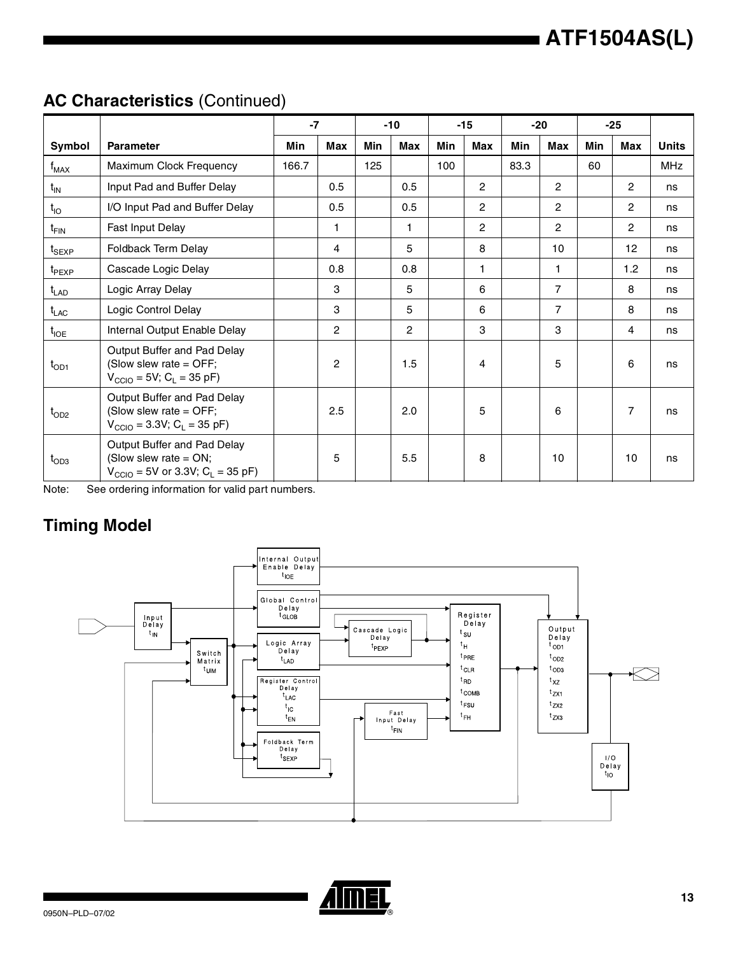## **AC Characteristics** (Continued)

|                               |                                                                                                                    | $-7$  |              | $-10$ |              | $-15$ |                | $-20$ |                | $-25$ |                |              |
|-------------------------------|--------------------------------------------------------------------------------------------------------------------|-------|--------------|-------|--------------|-------|----------------|-------|----------------|-------|----------------|--------------|
| Symbol                        | <b>Parameter</b>                                                                                                   | Min   | Max          | Min   | Max          | Min   | Max            | Min   | Max            | Min   | Max            | <b>Units</b> |
| $f_{MAX}$                     | Maximum Clock Frequency                                                                                            | 166.7 |              | 125   |              | 100   |                | 83.3  |                | 60    |                | MHz          |
| $t_{IN}$                      | Input Pad and Buffer Delay                                                                                         |       | 0.5          |       | 0.5          |       | 2              |       | $\mathbf{2}$   |       | 2              | ns           |
| $t_{IO}$                      | I/O Input Pad and Buffer Delay                                                                                     |       | 0.5          |       | 0.5          |       | $\overline{c}$ |       | $\mathbf{2}$   |       | 2              | ns           |
| $t_{\sf FIN}$                 | Fast Input Delay                                                                                                   |       | 1            |       | $\mathbf{1}$ |       | $\overline{c}$ |       | $\mathbf{2}$   |       | $\overline{c}$ | ns           |
| $t_{\scriptstyle\text{SEXP}}$ | Foldback Term Delay                                                                                                |       | 4            |       | 5            |       | 8              |       | 10             |       | 12             | ns           |
| $t_{\sf PEXP}$                | Cascade Logic Delay                                                                                                |       | 0.8          |       | 0.8          |       | 1              |       | 1              |       | 1.2            | ns           |
| $t_{LAD}$                     | Logic Array Delay                                                                                                  |       | 3            |       | 5            |       | 6              |       | $\overline{7}$ |       | 8              | ns           |
| $t_{LAC}$                     | Logic Control Delay                                                                                                |       | 3            |       | 5            |       | 6              |       | $\overline{7}$ |       | 8              | ns           |
| $t_{\sf IOE}$                 | Internal Output Enable Delay                                                                                       |       | $\mathbf{2}$ |       | $\mathbf{2}$ |       | 3              |       | 3              |       | $\overline{4}$ | ns           |
| $t_{OD1}$                     | Output Buffer and Pad Delay<br>(Slow slew rate = OFF;<br>$V_{\text{CCIO}} = 5V$ ; C <sub>L</sub> = 35 pF)          |       | $\mathbf{2}$ |       | 1.5          |       | 4              |       | 5              |       | 6              | ns           |
| $t_{OD2}$                     | Output Buffer and Pad Delay<br>(Slow slew rate = OFF;<br>$V_{\text{CCIO}} = 3.3V$ ; C <sub>L</sub> = 35 pF)        |       | 2.5          |       | 2.0          |       | 5              |       | 6              |       | $\overline{7}$ | ns           |
| $t_{OD3}$                     | Output Buffer and Pad Delay<br>(Slow slew rate = $ON$ ;<br>$V_{\text{CCIO}} = 5V$ or 3.3V; C <sub>L</sub> = 35 pF) |       | 5            |       | 5.5          |       | 8              |       | 10             |       | 10             | ns           |

Note: See ordering information for valid part numbers.

## **Timing Model**



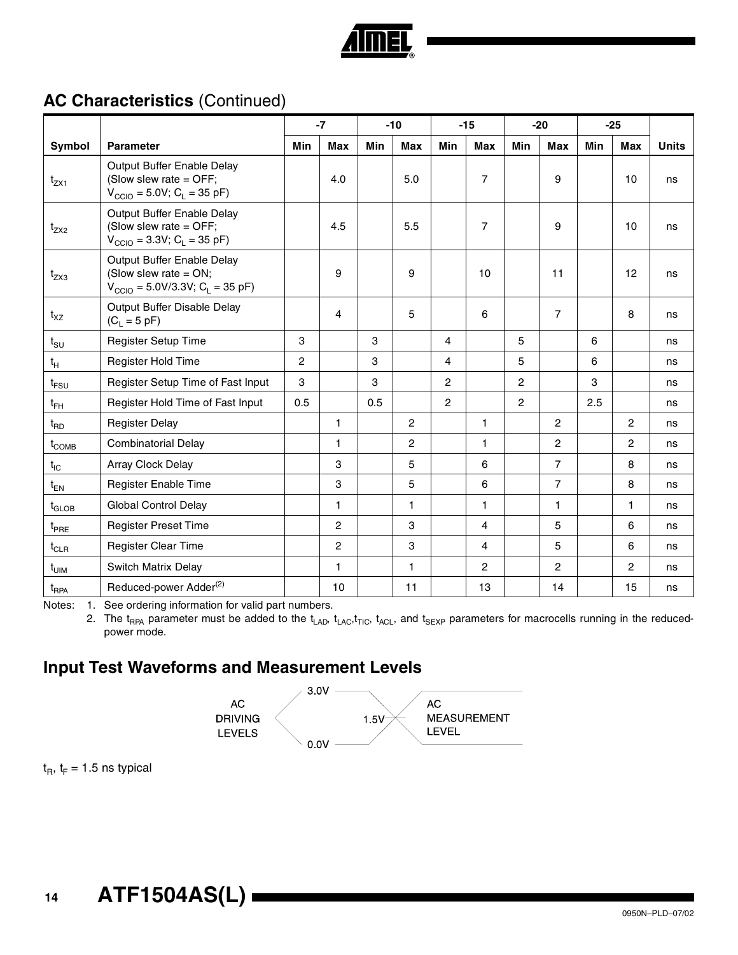

## **AC Characteristics** (Continued)

|                   |                                                                                                               | $-7$ |                | $-10$ |                | $-15$          |                | $-20$          |                | $-25$ |                |              |
|-------------------|---------------------------------------------------------------------------------------------------------------|------|----------------|-------|----------------|----------------|----------------|----------------|----------------|-------|----------------|--------------|
| Symbol            | <b>Parameter</b>                                                                                              | Min  | Max            | Min   | <b>Max</b>     | Min            | <b>Max</b>     | Min            | <b>Max</b>     | Min   | <b>Max</b>     | <b>Units</b> |
| $t_{ZX1}$         | Output Buffer Enable Delay<br>(Slow slew rate = OFF;<br>$V_{\text{CCIO}} = 5.0 V; C_{L} = 35 pF$              |      | 4.0            |       | 5.0            |                | $\overline{7}$ |                | 9              |       | 10             | ns           |
| $t_{ZX2}$         | Output Buffer Enable Delay<br>(Slow slew rate = $OFF$ ;<br>$V_{\text{CCIO}} = 3.3V$ ; C <sub>L</sub> = 35 pF) |      | 4.5            |       | 5.5            |                | $\overline{7}$ |                | 9              |       | 10             | ns           |
| $t_{ZX3}$         | Output Buffer Enable Delay<br>(Slow slew rate = $ON$ ;<br>$V_{\text{CCIO}} = 5.0 V/3.3 V; C_{L} = 35 pF$      |      | 9              |       | 9              |                | 10             |                | 11             |       | 12             | ns           |
| $t_{XZ}$          | Output Buffer Disable Delay<br>$(C_L = 5 pF)$                                                                 |      | 4              |       | 5              |                | 6              |                | $\overline{7}$ |       | 8              | ns           |
| $t_{\text{SU}}$   | Register Setup Time                                                                                           | 3    |                | 3     |                | 4              |                | 5              |                | 6     |                | ns           |
| $t_H$             | Register Hold Time                                                                                            | 2    |                | 3     |                | 4              |                | 5              |                | 6     |                | ns           |
| $t_{FSU}$         | Register Setup Time of Fast Input                                                                             | 3    |                | 3     |                | $\overline{c}$ |                | $\overline{c}$ |                | 3     |                | ns           |
| $t_{FH}$          | Register Hold Time of Fast Input                                                                              | 0.5  |                | 0.5   |                | $\overline{c}$ |                | $\overline{2}$ |                | 2.5   |                | ns           |
| $t_{\mathsf{RD}}$ | <b>Register Delay</b>                                                                                         |      | 1              |       | $\overline{2}$ |                | 1              |                | $\overline{2}$ |       | $\overline{c}$ | ns           |
| $t_{\text{COMB}}$ | <b>Combinatorial Delay</b>                                                                                    |      | 1              |       | $\overline{2}$ |                | 1              |                | 2              |       | $\mathbf{2}$   | ns           |
| $t_{IC}$          | Array Clock Delay                                                                                             |      | 3              |       | 5              |                | 6              |                | $\overline{7}$ |       | 8              | ns           |
| $t_{EN}$          | Register Enable Time                                                                                          |      | 3              |       | 5              |                | 6              |                | $\overline{7}$ |       | 8              | ns           |
| $t_{\text{GLOB}}$ | <b>Global Control Delay</b>                                                                                   |      | 1              |       | $\mathbf{1}$   |                | $\mathbf{1}$   |                | $\mathbf{1}$   |       | 1              | ns           |
| $t_{PRE}$         | <b>Register Preset Time</b>                                                                                   |      | $\overline{c}$ |       | 3              |                | 4              |                | 5              |       | 6              | ns           |
| $t_{CLR}$         | Register Clear Time                                                                                           |      | $\overline{c}$ |       | 3              |                | 4              |                | 5              |       | 6              | ns           |
| $t_{\text{UIM}}$  | Switch Matrix Delay                                                                                           |      | 1              |       | $\mathbf{1}$   |                | $\overline{2}$ |                | $\overline{2}$ |       | $\overline{c}$ | ns           |
| $t_{RPA}$         | Reduced-power Adder <sup>(2)</sup>                                                                            |      | 10             |       | 11             |                | 13             |                | 14             |       | 15             | ns           |

Notes: 1. See ordering information for valid part numbers.

2. The t<sub>RPA</sub> parameter must be added to the t<sub>LAD</sub>, t<sub>LAC</sub>, t<sub>RCL</sub>, and t<sub>SEXP</sub> parameters for macrocells running in the reducedpower mode.

## **Input Test Waveforms and Measurement Levels**



 $t_B$ ,  $t_F$  = 1.5 ns typical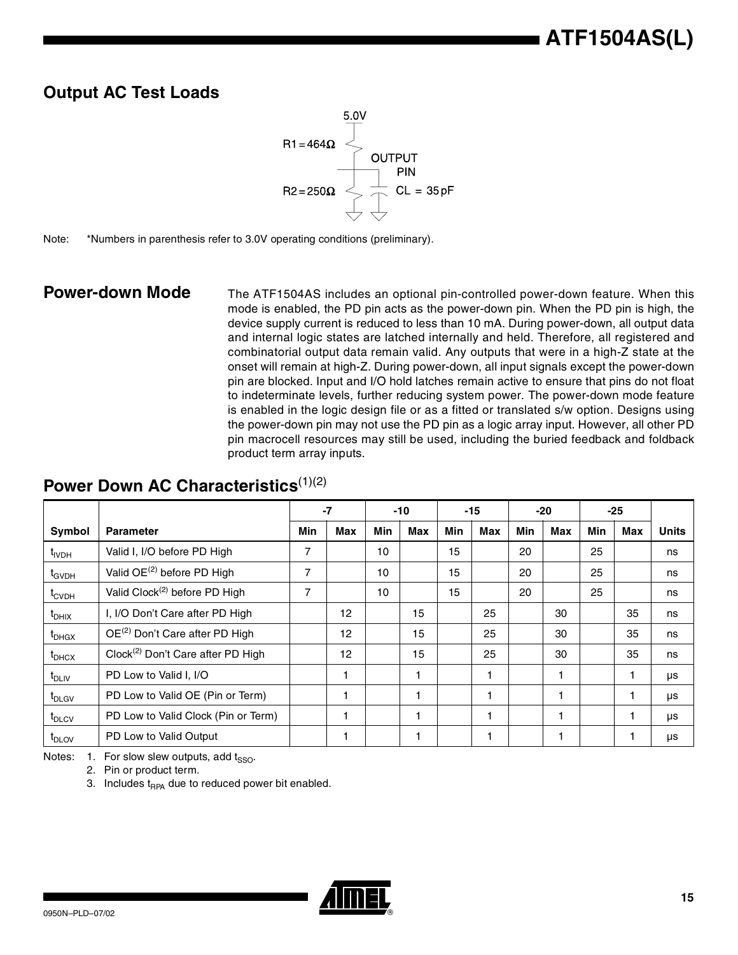## **Output AC Test Loads**



Note: \*Numbers in parenthesis refer to 3.0V operating conditions (preliminary).

**Power-down Mode** The ATF1504AS includes an optional pin-controlled power-down feature. When this mode is enabled, the PD pin acts as the power-down pin. When the PD pin is high, the device supply current is reduced to less than 10 mA. During power-down, all output data and internal logic states are latched internally and held. Therefore, all registered and combinatorial output data remain valid. Any outputs that were in a high-Z state at the onset will remain at high-Z. During power-down, all input signals except the power-down pin are blocked. Input and I/O hold latches remain active to ensure that pins do not float to indeterminate levels, further reducing system power. The power-down mode feature is enabled in the logic design file or as a fitted or translated s/w option. Designs using the power-down pin may not use the PD pin as a logic array input. However, all other PD pin macrocell resources may still be used, including the buried feedback and foldback product term array inputs.

### **Power Down AC Characteristics**<sup>(1)(2)</sup>

|                   |                                               | $-7$ |            | $-10$ |     | $-15$ |     | $-20$ |     | -25        |     |              |
|-------------------|-----------------------------------------------|------|------------|-------|-----|-------|-----|-------|-----|------------|-----|--------------|
| Symbol            | <b>Parameter</b>                              | Min  | <b>Max</b> | Min   | Max | Min   | Max | Min   | Max | <b>Min</b> | Max | <b>Units</b> |
| t <sub>IVDH</sub> | Valid I, I/O before PD High                   | 7    |            | 10    |     | 15    |     | 20    |     | 25         |     | ns           |
| $t_{GVDH}$        | Valid OE <sup>(2)</sup> before PD High        | 7    |            | 10    |     | 15    |     | 20    |     | 25         |     | ns           |
| $t_{\text{CVDH}}$ | Valid Clock <sup>(2)</sup> before PD High     | 7    |            | 10    |     | 15    |     | 20    |     | 25         |     | ns           |
| $t_{DHIX}$        | I, I/O Don't Care after PD High               |      | 12         |       | 15  |       | 25  |       | 30  |            | 35  | ns           |
| $t_{DHGX}$        | OE <sup>(2)</sup> Don't Care after PD High    |      | 12         |       | 15  |       | 25  |       | 30  |            | 35  | ns           |
| $t_{\text{DHCX}}$ | Clock <sup>(2)</sup> Don't Care after PD High |      | 12         |       | 15  |       | 25  |       | 30  |            | 35  | ns           |
| $t_{DLIV}$        | PD Low to Valid I, I/O                        |      |            |       |     |       |     |       |     |            |     | μs           |
| t <sub>DLGV</sub> | PD Low to Valid OE (Pin or Term)              |      |            |       |     |       |     |       | 1   |            |     | μs           |
| t <sub>DLCV</sub> | PD Low to Valid Clock (Pin or Term)           |      |            |       |     |       |     |       | 1   |            |     | <b>US</b>    |
| t <sub>DLOV</sub> | PD Low to Valid Output                        |      |            |       |     |       |     |       |     |            |     | μs           |

Notes:  $1.$  For slow slew outputs, add t<sub>sso</sub>.

2. Pin or product term.

3. Includes  $t_{RPA}$  due to reduced power bit enabled.

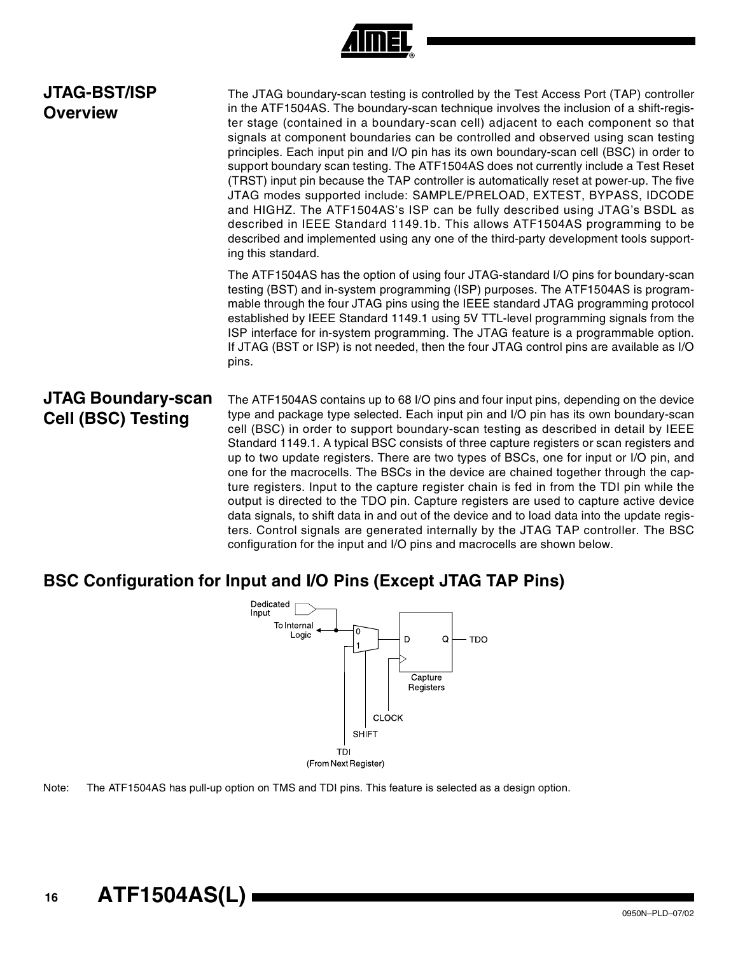| ., |  |
|----|--|

| <b>JTAG-BST/ISP</b><br><b>Overview</b>                 | The JTAG boundary-scan testing is controlled by the Test Access Port (TAP) controller<br>in the ATF1504AS. The boundary-scan technique involves the inclusion of a shift-regis-<br>ter stage (contained in a boundary-scan cell) adjacent to each component so that<br>signals at component boundaries can be controlled and observed using scan testing<br>principles. Each input pin and I/O pin has its own boundary-scan cell (BSC) in order to<br>support boundary scan testing. The ATF1504AS does not currently include a Test Reset<br>(TRST) input pin because the TAP controller is automatically reset at power-up. The five<br>JTAG modes supported include: SAMPLE/PRELOAD, EXTEST, BYPASS, IDCODE<br>and HIGHZ. The ATF1504AS's ISP can be fully described using JTAG's BSDL as<br>described in IEEE Standard 1149.1b. This allows ATF1504AS programming to be<br>described and implemented using any one of the third-party development tools support-<br>ing this standard.                |
|--------------------------------------------------------|------------------------------------------------------------------------------------------------------------------------------------------------------------------------------------------------------------------------------------------------------------------------------------------------------------------------------------------------------------------------------------------------------------------------------------------------------------------------------------------------------------------------------------------------------------------------------------------------------------------------------------------------------------------------------------------------------------------------------------------------------------------------------------------------------------------------------------------------------------------------------------------------------------------------------------------------------------------------------------------------------------|
|                                                        | The ATF1504AS has the option of using four JTAG-standard I/O pins for boundary-scan<br>testing (BST) and in-system programming (ISP) purposes. The ATF1504AS is program-<br>mable through the four JTAG pins using the IEEE standard JTAG programming protocol<br>established by IEEE Standard 1149.1 using 5V TTL-level programming signals from the<br>ISP interface for in-system programming. The JTAG feature is a programmable option.<br>If JTAG (BST or ISP) is not needed, then the four JTAG control pins are available as I/O<br>pins.                                                                                                                                                                                                                                                                                                                                                                                                                                                          |
| <b>JTAG Boundary-scan</b><br><b>Cell (BSC) Testing</b> | The ATF1504AS contains up to 68 I/O pins and four input pins, depending on the device<br>type and package type selected. Each input pin and I/O pin has its own boundary-scan<br>cell (BSC) in order to support boundary-scan testing as described in detail by IEEE<br>Standard 1149.1. A typical BSC consists of three capture registers or scan registers and<br>up to two update registers. There are two types of BSCs, one for input or I/O pin, and<br>one for the macrocells. The BSCs in the device are chained together through the cap-<br>ture registers. Input to the capture register chain is fed in from the TDI pin while the<br>output is directed to the TDO pin. Capture registers are used to capture active device<br>data signals, to shift data in and out of the device and to load data into the update regis-<br>ters. Control signals are generated internally by the JTAG TAP controller. The BSC<br>configuration for the input and I/O pins and macrocells are shown below. |

## **BSC Configuration for Input and I/O Pins (Except JTAG TAP Pins)**



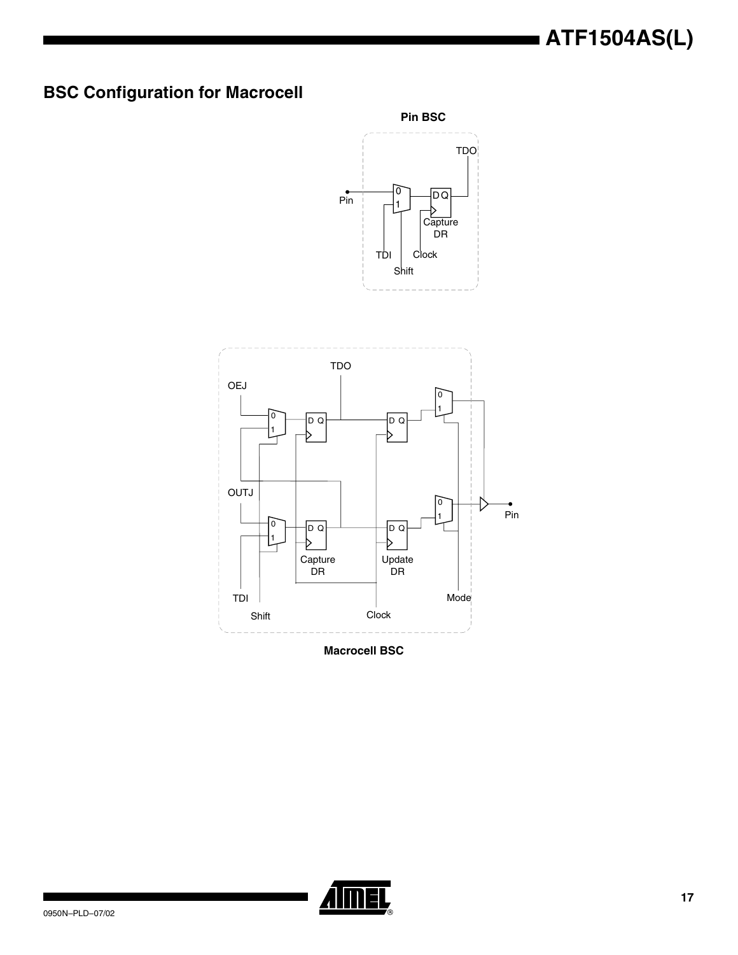# **BSC Configuration for Macrocell**





**Macrocell BSC**

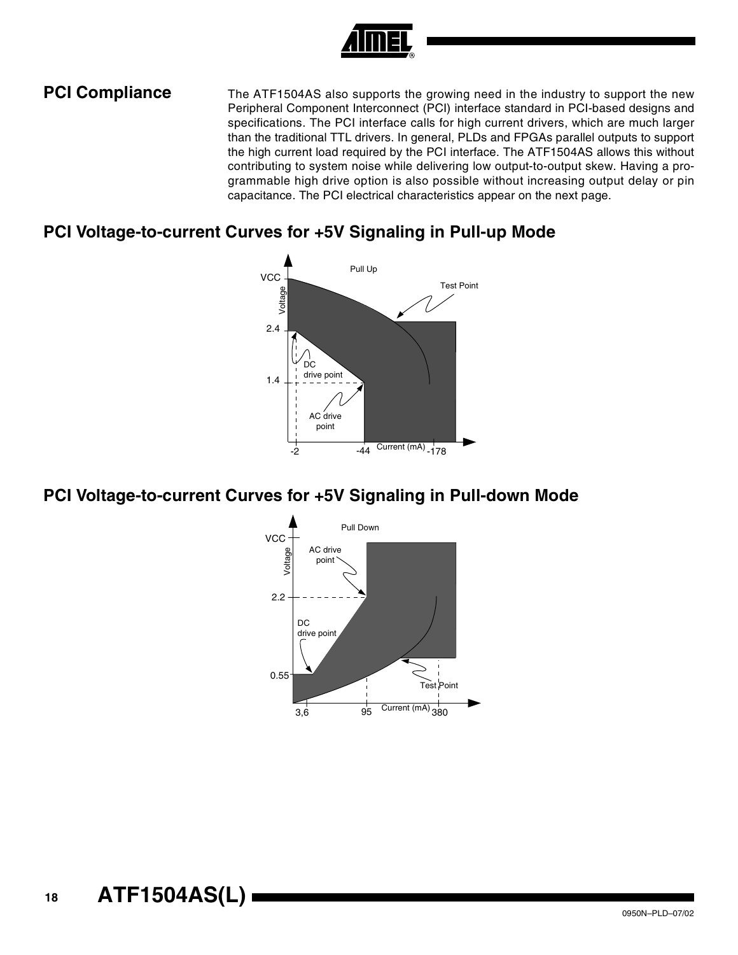

**PCI Compliance** The ATF1504AS also supports the growing need in the industry to support the new Peripheral Component Interconnect (PCI) interface standard in PCI-based designs and specifications. The PCI interface calls for high current drivers, which are much larger than the traditional TTL drivers. In general, PLDs and FPGAs parallel outputs to support the high current load required by the PCI interface. The ATF1504AS allows this without contributing to system noise while delivering low output-to-output skew. Having a programmable high drive option is also possible without increasing output delay or pin capacitance. The PCI electrical characteristics appear on the next page.

#### **PCI Voltage-to-current Curves for +5V Signaling in Pull-up Mode**



#### **PCI Voltage-to-current Curves for +5V Signaling in Pull-down Mode**

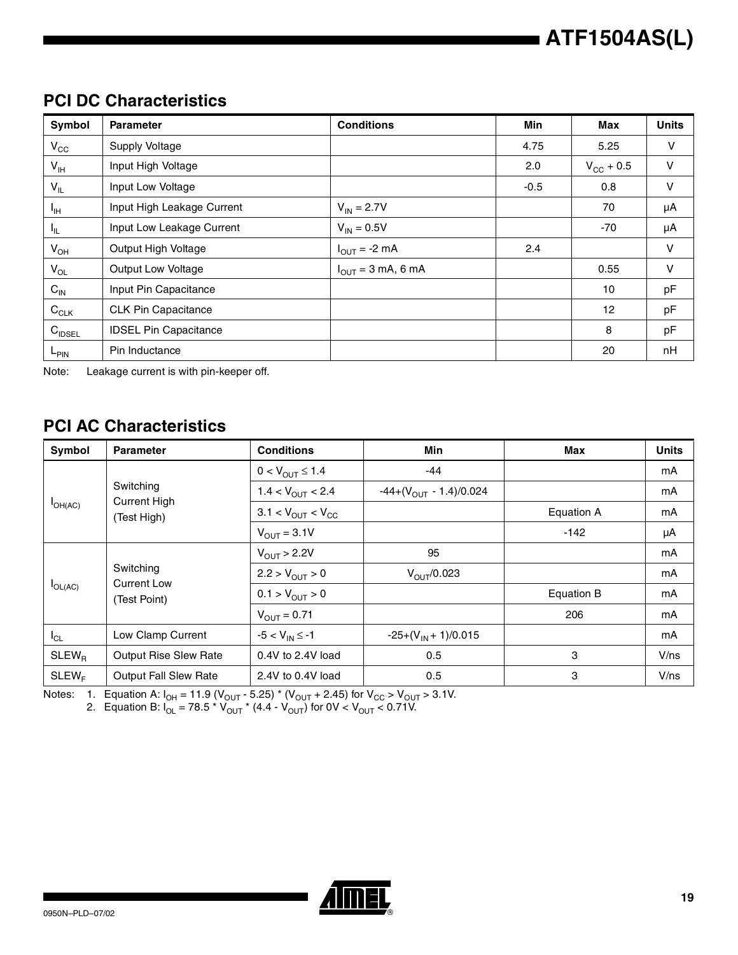### **PCI DC Characteristics**

| <b>Symbol</b>      | <b>Parameter</b>             | <b>Conditions</b>                      | Min    | <b>Max</b>     | <b>Units</b> |
|--------------------|------------------------------|----------------------------------------|--------|----------------|--------------|
| $V_{\rm CC}$       | Supply Voltage               |                                        | 4.75   | 5.25           | V            |
| $V_{\sf IH}$       | Input High Voltage           |                                        | 2.0    | $V_{CG}$ + 0.5 | $\mathsf{V}$ |
| $V_{ L }$          | Input Low Voltage            |                                        | $-0.5$ | 0.8            | $\mathsf{V}$ |
| <sup>I</sup> IH    | Input High Leakage Current   | $V_{IN} = 2.7V$                        |        | 70             | μA           |
| $I_{IL}$           | Input Low Leakage Current    | $V_{IN} = 0.5V$                        |        | $-70$          | μA           |
| $V_{OH}$           | Output High Voltage          | $I_{OUT} = -2 mA$                      | 2.4    |                | V            |
| $V_{OL}$           | Output Low Voltage           | $I_{\text{OUT}} = 3 \text{ mA}$ , 6 mA |        | 0.55           | V            |
| $C_{\text{IN}}$    | Input Pin Capacitance        |                                        |        | 10             | pF           |
| $C_{CLK}$          | <b>CLK Pin Capacitance</b>   |                                        |        | 12             | pF           |
| $C_{\text{IDSEL}}$ | <b>IDSEL Pin Capacitance</b> |                                        |        | 8              | pF           |
| L <sub>PIN</sub>   | Pin Inductance               |                                        |        | 20             | nH           |

Note: Leakage current is with pin-keeper off.

## **PCI AC Characteristics**

| Symbol            | <b>Parameter</b>                   | <b>Conditions</b>                      | Min                                | Max        | <b>Units</b> |
|-------------------|------------------------------------|----------------------------------------|------------------------------------|------------|--------------|
|                   |                                    | $0 < V_{OUT} \le 1.4$                  | $-44$                              |            | mA           |
|                   | Switching                          | $1.4 < V_{\text{OUT}} < 2.4$           | $-44+(V_{\text{OUT}} - 1.4)/0.024$ |            | mA           |
| $I_{OH(AC)}$      | <b>Current High</b><br>(Test High) | $3.1 < V_{\text{OUT}} < V_{\text{CC}}$ |                                    | Equation A | mA           |
|                   |                                    | $V_{OUT}$ = 3.1V                       |                                    | $-142$     | μA           |
|                   | Switching                          | $V_{\text{OUT}} > 2.2V$                | 95                                 |            | mA           |
|                   |                                    | $2.2 > V_{OUT} > 0$                    | $V_{\text{OUT}}/0.023$             |            | mA           |
| $I_{OL(AC)}$      | <b>Current Low</b><br>(Test Point) | $0.1 > V_{OUT} > 0$                    |                                    | Equation B | mA           |
|                   |                                    | $V_{\text{OUT}} = 0.71$                |                                    | 206        | mA           |
| $I_{CL}$          | Low Clamp Current                  | $-5 < V_{IN} \le -1$                   | $-25+(V_{1N}+1)/0.015$             |            | mA           |
| SLEW <sub>B</sub> | <b>Output Rise Slew Rate</b>       | $0.4V$ to 2.4V load                    | 0.5                                | 3          | V/ns         |
| SLEW <sub>F</sub> | <b>Output Fall Slew Rate</b>       | 2.4V to 0.4V load                      | 0.5                                | 3          | V/ns         |

Notes: 1. Equation A: I<sub>OH</sub> = 11.9 (V<sub>OUT</sub> - 5.25) \* (V<sub>OUT</sub> + 2.45) for V<sub>CC</sub> > V<sub>OUT</sub> > 3.1V.

2. Equation B: I<sub>OL</sub> = 78.5 \* V<sub>OUT</sub> \* (4.4 - V<sub>OUT</sub>) for 0V < V<sub>OUT</sub> < 0.71V.

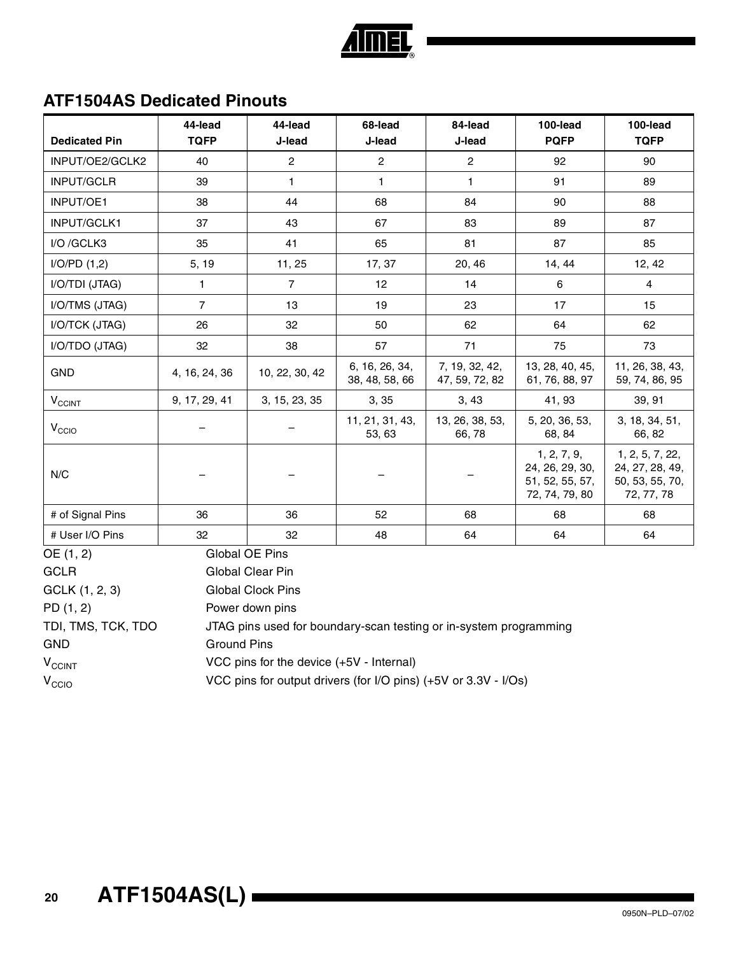

### **ATF1504AS Dedicated Pinouts**

|                                                                                         | 44-lead        | 44-lead                  | 68-lead                          | 84-lead                          | 100-lead                                                            | 100-lead                                                            |
|-----------------------------------------------------------------------------------------|----------------|--------------------------|----------------------------------|----------------------------------|---------------------------------------------------------------------|---------------------------------------------------------------------|
| <b>Dedicated Pin</b>                                                                    | <b>TQFP</b>    | J-lead                   | J-lead                           | J-lead                           | <b>PQFP</b>                                                         | <b>TQFP</b>                                                         |
| INPUT/OE2/GCLK2                                                                         | 40             | $\overline{c}$           | $\overline{c}$                   | $\overline{c}$                   | 92                                                                  | 90                                                                  |
| INPUT/GCLR                                                                              | 39             | $\mathbf{1}$             | $\mathbf{1}$                     | $\mathbf{1}$                     | 91                                                                  | 89                                                                  |
| INPUT/OE1                                                                               | 38             | 44                       | 68                               | 84                               | 90                                                                  | 88                                                                  |
| INPUT/GCLK1                                                                             | 37             | 43                       | 67                               | 83                               | 89                                                                  | 87                                                                  |
| I/O /GCLK3                                                                              | 35             | 41                       | 65                               | 81                               | 87                                                                  | 85                                                                  |
| I/O/PD(1,2)                                                                             | 5, 19          | 11, 25                   | 17, 37                           | 20, 46                           | 14, 44                                                              | 12, 42                                                              |
| I/O/TDI (JTAG)                                                                          | 1              | $\overline{7}$           | 12                               | 14                               | $\,6\,$                                                             | $\overline{4}$                                                      |
| I/O/TMS (JTAG)                                                                          | $\overline{7}$ | 13                       | 19                               | 23                               | 17                                                                  | 15                                                                  |
| I/O/TCK (JTAG)                                                                          | 26             | 32                       | 50                               | 62                               | 64                                                                  | 62                                                                  |
| I/O/TDO (JTAG)                                                                          | 32             | 38                       | 57                               | 71                               | 75                                                                  | 73                                                                  |
| <b>GND</b>                                                                              | 4, 16, 24, 36  | 10, 22, 30, 42           | 6, 16, 26, 34,<br>38, 48, 58, 66 | 7, 19, 32, 42,<br>47, 59, 72, 82 | 13, 28, 40, 45,<br>61, 76, 88, 97                                   | 11, 26, 38, 43,<br>59, 74, 86, 95                                   |
| $\mathsf{V}_{\mathsf{CCINT}}$                                                           | 9, 17, 29, 41  | 3, 15, 23, 35            | 3, 35                            | 3,43                             | 41, 93                                                              | 39, 91                                                              |
| V <sub>CCIO</sub>                                                                       |                |                          | 11, 21, 31, 43,<br>53, 63        | 13, 26, 38, 53,<br>66,78         | 5, 20, 36, 53,<br>68, 84                                            | 3, 18, 34, 51,<br>66, 82                                            |
| N/C                                                                                     |                |                          |                                  |                                  | 1, 2, 7, 9,<br>24, 26, 29, 30,<br>51, 52, 55, 57,<br>72, 74, 79, 80 | 1, 2, 5, 7, 22,<br>24, 27, 28, 49,<br>50, 53, 55, 70,<br>72, 77, 78 |
| # of Signal Pins                                                                        | 36             | 36                       | 52                               | 68                               | 68                                                                  | 68                                                                  |
| # User I/O Pins                                                                         | 32             | 32                       | 48                               | 64                               | 64                                                                  | 64                                                                  |
| OE (1, 2)                                                                               |                | Global OE Pins           |                                  |                                  |                                                                     |                                                                     |
| <b>GCLR</b>                                                                             |                | Global Clear Pin         |                                  |                                  |                                                                     |                                                                     |
| GCLK (1, 2, 3)                                                                          |                | <b>Global Clock Pins</b> |                                  |                                  |                                                                     |                                                                     |
| PD(1, 2)                                                                                |                | Power down pins          |                                  |                                  |                                                                     |                                                                     |
| TDI, TMS, TCK, TDO<br>JTAG pins used for boundary-scan testing or in-system programming |                |                          |                                  |                                  |                                                                     |                                                                     |

GND Ground Pins

V<sub>CCINT</sub> VCC pins for the device (+5V - Internal)

 $V_{\text{CCIO}}$  VCC pins for output drivers (for I/O pins) (+5V or 3.3V - I/Os)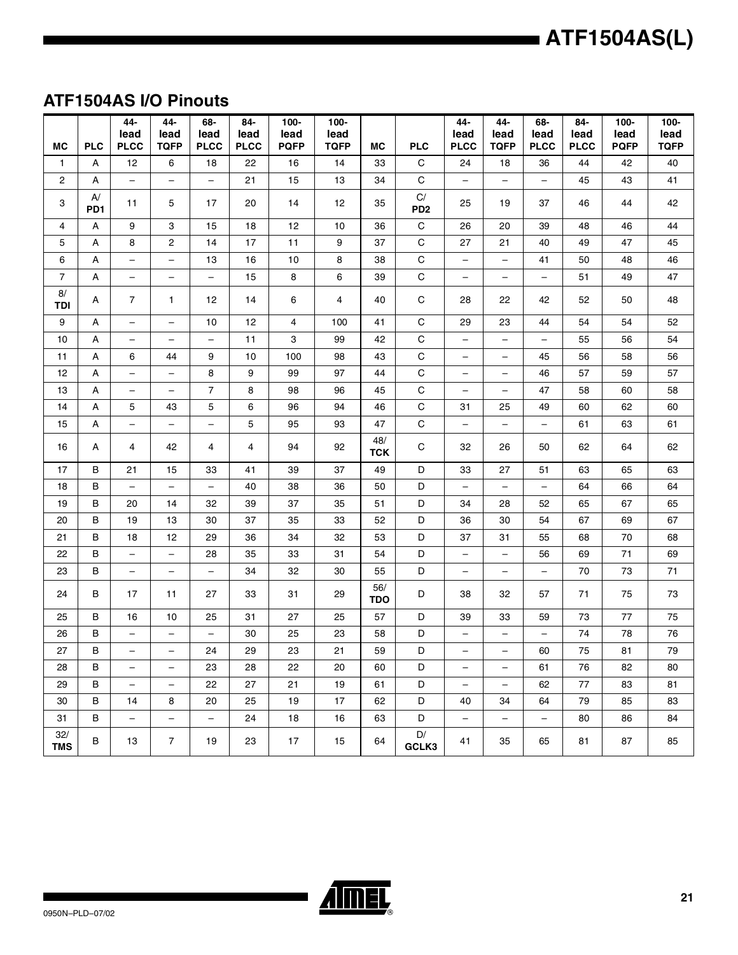## **ATF1504AS I/O Pinouts**

|                                |                    | 44-<br>lead                    | 44-<br>lead                     | 68-<br>lead                    | 84-<br>lead | $100 -$<br>lead | $100 -$<br>lead |                   |                           | 44-<br>lead              | 44-<br>lead                    | 68-<br>lead                    | 84-<br>lead       | $100 -$<br>lead | $100 -$<br>lead |
|--------------------------------|--------------------|--------------------------------|---------------------------------|--------------------------------|-------------|-----------------|-----------------|-------------------|---------------------------|--------------------------|--------------------------------|--------------------------------|-------------------|-----------------|-----------------|
| <b>MC</b>                      | <b>PLC</b>         | <b>PLCC</b>                    | <b>TQFP</b>                     | <b>PLCC</b>                    | <b>PLCC</b> | <b>PQFP</b>     | <b>TQFP</b>     | <b>MC</b>         | <b>PLC</b><br>$\mathbf C$ | <b>PLCC</b><br>24        | <b>TQFP</b>                    | <b>PLCC</b>                    | <b>PLCC</b><br>44 | <b>PQFP</b>     | <b>TQFP</b>     |
| $\mathbf{1}$<br>$\overline{c}$ | Α                  | 12<br>$\overline{\phantom{a}}$ | 6<br>$\qquad \qquad -$          | 18<br>$\overline{\phantom{0}}$ | 22<br>21    | 16<br>15        | 14              | 33<br>34          | $\mathsf C$               |                          | 18<br>$\overline{\phantom{0}}$ | 36<br>$\overline{\phantom{0}}$ | 45                | 42<br>43        | 40<br>41        |
|                                | А<br>$\mathsf{A}/$ |                                |                                 |                                |             |                 | 13              |                   | $\mathsf{C}/%$            | $\overline{\phantom{0}}$ |                                |                                |                   |                 |                 |
| 3                              | PD <sub>1</sub>    | 11                             | 5                               | 17                             | 20          | 14              | 12              | 35                | PD <sub>2</sub>           | 25                       | 19                             | 37                             | 46                | 44              | 42              |
| 4                              | А                  | 9                              | 3                               | 15                             | 18          | 12              | 10              | 36                | $\mathbf C$               | 26                       | 20                             | 39                             | 48                | 46              | 44              |
| 5                              | А                  | 8                              | 2                               | 14                             | 17          | 11              | 9               | 37                | $\mathsf C$               | 27                       | 21                             | 40                             | 49                | 47              | 45              |
| 6                              | A                  | -                              | $\qquad \qquad -$               | 13                             | 16          | 10              | 8               | 38                | $\mathsf C$               | $\overline{\phantom{0}}$ | $\overline{\phantom{0}}$       | 41                             | 50                | 48              | 46              |
| $\overline{7}$                 | Α                  | $\overline{\phantom{m}}$       | $\qquad \qquad -$               | $\equiv$                       | 15          | 8               | 6               | 39                | $\mathbf C$               | $\qquad \qquad -$        | -                              | $\overline{\phantom{0}}$       | 51                | 49              | 47              |
| 8/<br><b>TDI</b>               | Α                  | $\overline{7}$                 | $\mathbf{1}$                    | $12 \overline{ }$              | 14          | 6               | 4               | 40                | C                         | 28                       | 22                             | 42                             | 52                | 50              | 48              |
| $\boldsymbol{9}$               | А                  | $\overline{\phantom{m}}$       | $\overline{\phantom{0}}$        | 10                             | 12          | 4               | 100             | 41                | $\mathbf C$               | 29                       | 23                             | 44                             | 54                | 54              | 52              |
| 10                             | А                  | -                              | $\overline{\phantom{m}}$        | $\qquad \qquad -$              | 11          | 3               | 99              | 42                | $\mathsf C$               | -                        | $\overline{\phantom{0}}$       | $\qquad \qquad -$              | 55                | 56              | 54              |
| 11                             | A                  | 6                              | 44                              | 9                              | 10          | 100             | 98              | 43                | $\mathbf C$               | $\qquad \qquad -$        | $\overline{\phantom{m}}$       | 45                             | 56                | 58              | 56              |
| 12                             | А                  | -                              | $\overline{\phantom{m}}$        | 8                              | 9           | 99              | 97              | 44                | С                         | -                        | -                              | 46                             | 57                | 59              | 57              |
| 13                             | А                  | $\qquad \qquad -$              | $\overline{\phantom{m}}$        | $\overline{7}$                 | 8           | 98              | 96              | 45                | C                         | -                        | $\overline{\phantom{0}}$       | 47                             | 58                | 60              | 58              |
| 14                             | A                  | 5                              | 43                              | 5                              | 6           | 96              | 94              | 46                | $\mathbf C$               | 31                       | 25                             | 49                             | 60                | 62              | 60              |
| 15                             | А                  | $\qquad \qquad -$              | $\overbrace{\phantom{1232211}}$ | $\overline{\phantom{0}}$       | 5           | 95              | 93              | 47                | $\mathsf C$               | $\qquad \qquad -$        | $\overline{\phantom{0}}$       | $\overline{\phantom{0}}$       | 61                | 63              | 61              |
| 16                             | A                  | 4                              | 42                              | 4                              | 4           | 94              | 92              | 48/<br><b>TCK</b> | C                         | 32                       | 26                             | 50                             | 62                | 64              | 62              |
| 17                             | В                  | 21                             | 15                              | 33                             | 41          | 39              | 37              | 49                | D                         | 33                       | 27                             | 51                             | 63                | 65              | 63              |
| 18                             | В                  | $\overline{\phantom{a}}$       | $\overline{\phantom{0}}$        | $\qquad \qquad -$              | 40          | 38              | 36              | 50                | D                         | $\overline{\phantom{0}}$ | $\overline{\phantom{0}}$       | $\overline{\phantom{0}}$       | 64                | 66              | 64              |
| 19                             | В                  | 20                             | 14                              | 32                             | 39          | 37              | 35              | 51                | D                         | 34                       | 28                             | 52                             | 65                | 67              | 65              |
| 20                             | B                  | 19                             | 13                              | 30                             | 37          | 35              | 33              | 52                | D                         | 36                       | 30                             | 54                             | 67                | 69              | 67              |
| 21                             | В                  | 18                             | 12                              | 29                             | 36          | 34              | 32              | 53                | D                         | 37                       | 31                             | 55                             | 68                | 70              | 68              |
| 22                             | B                  | $\overline{\phantom{a}}$       | $\qquad \qquad -$               | 28                             | 35          | 33              | 31              | 54                | D                         | $\overline{\phantom{0}}$ | $\overline{\phantom{0}}$       | 56                             | 69                | 71              | 69              |
| 23                             | в                  | $\overline{\phantom{0}}$       | $\overline{\phantom{m}}$        | $\qquad \qquad -$              | 34          | 32              | 30              | 55                | D                         | -                        | $\qquad \qquad -$              | $\qquad \qquad -$              | 70                | 73              | 71              |
| 24                             | в                  | 17                             | 11                              | 27                             | 33          | 31              | 29              | 56/<br><b>TDO</b> | D                         | 38                       | 32                             | 57                             | 71                | 75              | 73              |
| 25                             | в                  | 16                             | 10                              | 25                             | 31          | 27              | 25              | 57                | D                         | 39                       | 33                             | 59                             | 73                | 77              | 75              |
| 26                             | В                  | -                              | $\overline{\phantom{0}}$        | $\overline{\phantom{0}}$       | 30          | 25              | 23              | 58                | D                         | -                        | -                              |                                | 74                | 78              | ${\bf 76}$      |
| 27                             | В                  | -                              | -                               | 24                             | 29          | 23              | 21              | 59                | D                         | -                        | -                              | 60                             | 75                | 81              | 79              |
| 28                             | В                  | $\qquad \qquad -$              | $\overline{\phantom{m}}$        | 23                             | 28          | 22              | 20              | 60                | D                         | -                        | $\overline{\phantom{m}}$       | 61                             | 76                | 82              | 80              |
| 29                             | в                  | $\overline{\phantom{a}}$       | $\qquad \qquad -$               | 22                             | 27          | 21              | 19              | 61                | D                         | $\overline{\phantom{0}}$ | $\qquad \qquad -$              | 62                             | 77                | 83              | 81              |
| 30                             | В                  | 14                             | 8                               | 20                             | 25          | 19              | 17              | 62                | D                         | 40                       | 34                             | 64                             | 79                | 85              | 83              |
| 31                             | B                  | $\overline{\phantom{a}}$       | $\qquad \qquad -$               | $\overline{\phantom{a}}$       | 24          | 18              | 16              | 63                | D                         | $\qquad \qquad -$        | $\qquad \qquad -$              | $\overline{\phantom{0}}$       | 80                | 86              | 84              |
| 32/<br><b>TMS</b>              | в                  | 13                             | $\overline{7}$                  | 19                             | 23          | 17              | 15              | 64                | $\mathsf{D}/%$<br>GCLK3   | 41                       | 35                             | 65                             | 81                | 87              | 85              |

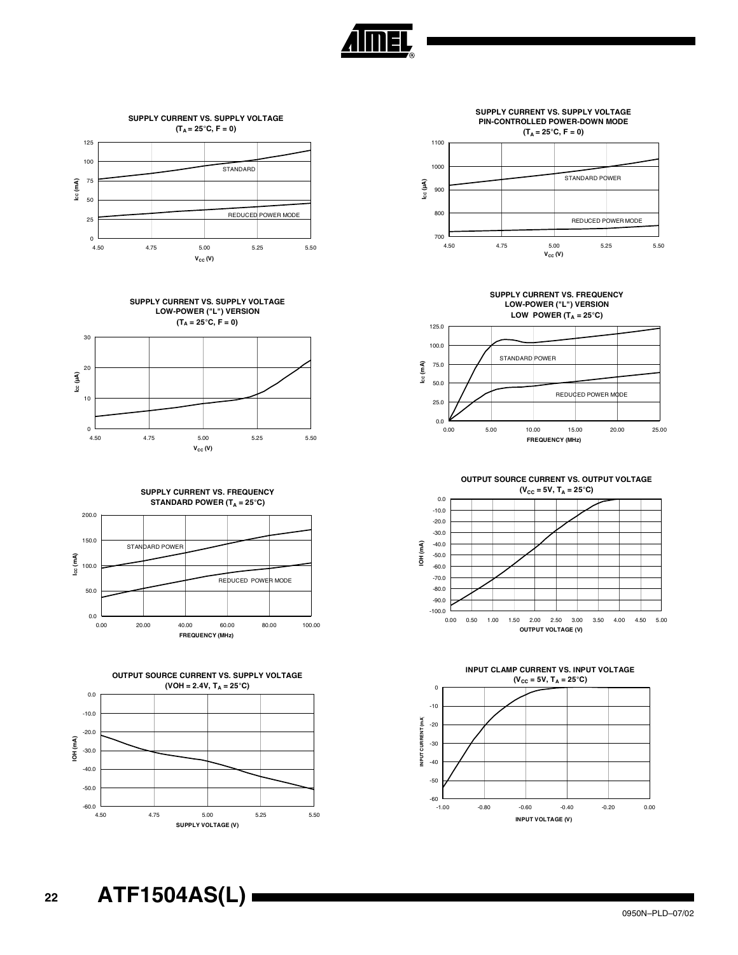



**SUPPLY CURRENT VS. SUPPLY VOLTAGE LOW-POWER ("L") VERSION**  $(T_A = 25^{\circ}C, F = 0)$ 



**SUPPLY CURRENT VS. FREQUENCY STANDARD POWER (T<sub>A</sub> = 25°C)** 









**SUPPLY CURRENT VS. FREQUENCY LOW-POWER ("L") VERSION** LOW POWER  $(T_A = 25^\circ C)$ 







**<sup>22</sup> ATF1504AS(L)**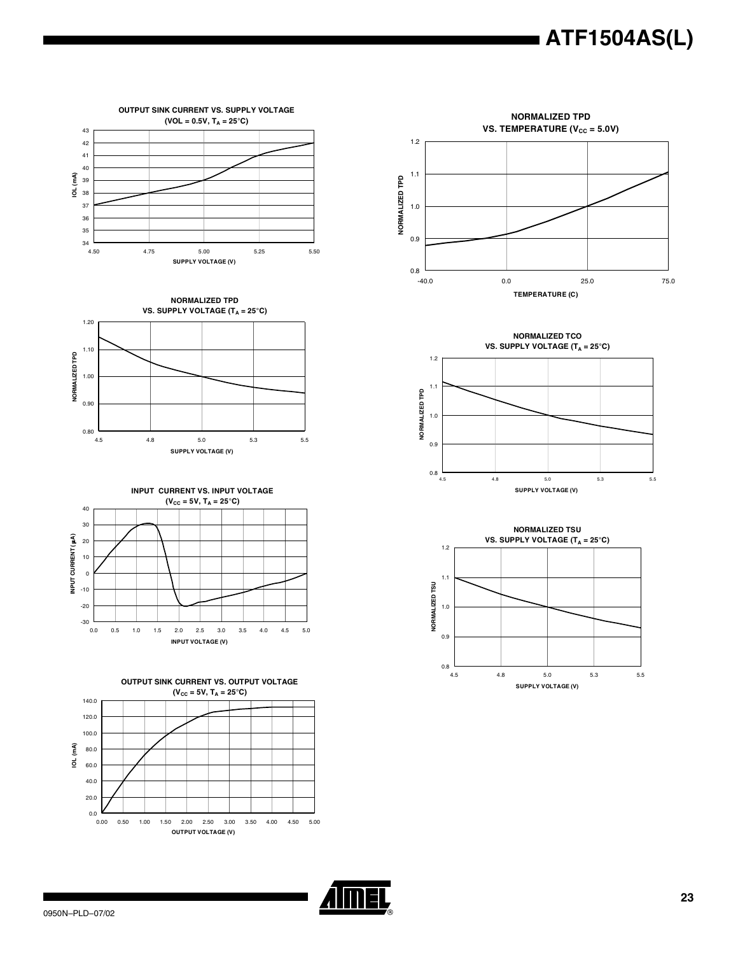

**OUTPUT SINK CURRENT VS. SUPPLY VOLTAGE**  $(VOL = 0.5V, T_A = 25^{\circ}C)$ 













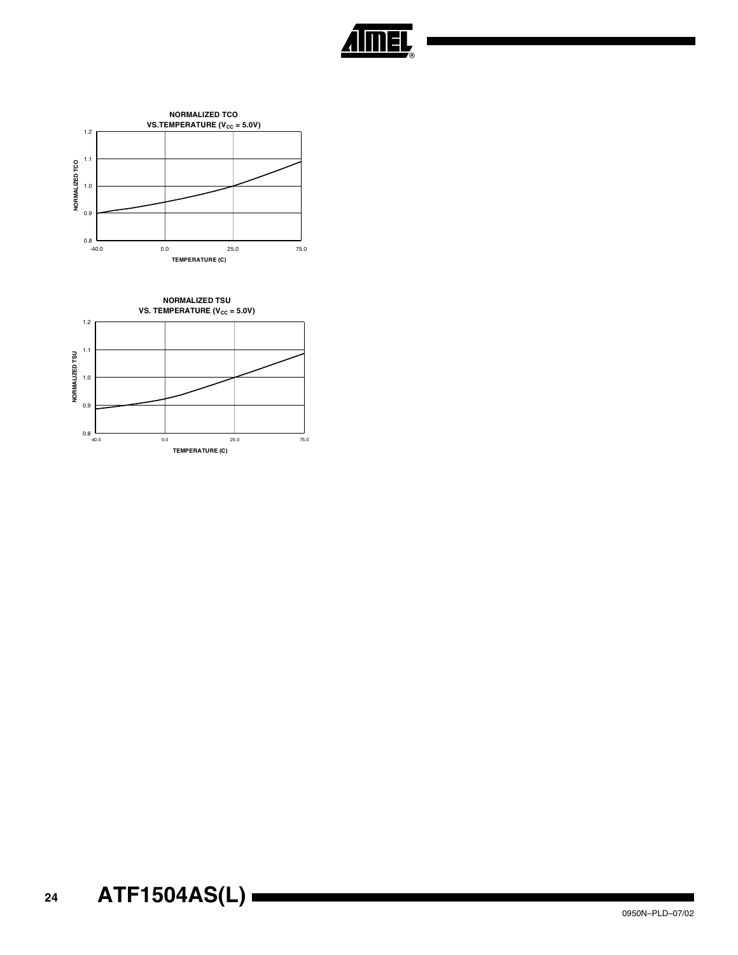



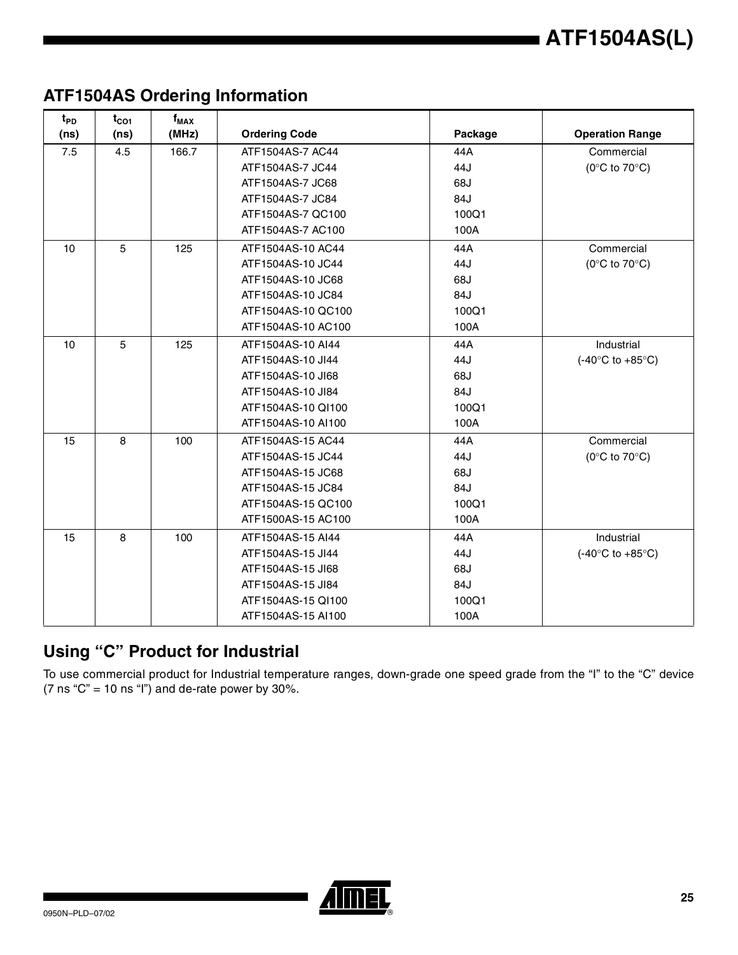## **ATF1504AS Ordering Information**

| $t_{PD}$ | $t_{CO1}$ | $f_{MAX}$ |                      |         |                                    |
|----------|-----------|-----------|----------------------|---------|------------------------------------|
| (ns)     | (ns)      | (MHz)     | <b>Ordering Code</b> | Package | <b>Operation Range</b>             |
| 7.5      | 4.5       | 166.7     | ATF1504AS-7 AC44     | 44A     | Commercial                         |
|          |           |           | ATF1504AS-7 JC44     | 44J     | ( $0^{\circ}$ C to $70^{\circ}$ C) |
|          |           |           | ATF1504AS-7 JC68     | 68J     |                                    |
|          |           |           | ATF1504AS-7 JC84     | 84J     |                                    |
|          |           |           | ATF1504AS-7 QC100    | 100Q1   |                                    |
|          |           |           | ATF1504AS-7 AC100    | 100A    |                                    |
| 10       | 5         | 125       | ATF1504AS-10 AC44    | 44A     | Commercial                         |
|          |           |           | ATF1504AS-10 JC44    | 44J     | ( $0^{\circ}$ C to $70^{\circ}$ C) |
|          |           |           | ATF1504AS-10 JC68    | 68J     |                                    |
|          |           |           | ATF1504AS-10 JC84    | 84J     |                                    |
|          |           |           | ATF1504AS-10 QC100   | 100Q1   |                                    |
|          |           |           | ATF1504AS-10 AC100   | 100A    |                                    |
| 10       | 5         | 125       | ATF1504AS-10 AI44    | 44A     | Industrial                         |
|          |           |           | ATF1504AS-10 JI44    | 44J     | $(-40^{\circ}C$ to $+85^{\circ}C)$ |
|          |           |           | ATF1504AS-10 JI68    | 68J     |                                    |
|          |           |           | ATF1504AS-10 JI84    | 84J     |                                    |
|          |           |           | ATF1504AS-10 QI100   | 100Q1   |                                    |
|          |           |           | ATF1504AS-10 AI100   | 100A    |                                    |
| 15       | 8         | 100       | ATF1504AS-15 AC44    | 44A     | Commercial                         |
|          |           |           | ATF1504AS-15 JC44    | 44J     | (0 $\degree$ C to 70 $\degree$ C)  |
|          |           |           | ATF1504AS-15 JC68    | 68J     |                                    |
|          |           |           | ATF1504AS-15 JC84    | 84J     |                                    |
|          |           |           | ATF1504AS-15 QC100   | 100Q1   |                                    |
|          |           |           | ATF1500AS-15 AC100   | 100A    |                                    |
| 15       | 8         | 100       | ATF1504AS-15 AI44    | 44A     | Industrial                         |
|          |           |           | ATF1504AS-15 JI44    | 44J     | $(-40^{\circ}C$ to $+85^{\circ}C)$ |
|          |           |           | ATF1504AS-15 JI68    | 68J     |                                    |
|          |           |           | ATF1504AS-15 JI84    | 84J     |                                    |
|          |           |           | ATF1504AS-15 QI100   | 100Q1   |                                    |
|          |           |           | ATF1504AS-15 AI100   | 100A    |                                    |

## **Using "C" Product for Industrial**

To use commercial product for Industrial temperature ranges, down-grade one speed grade from the "I" to the "C" device (7 ns " $C$ " = 10 ns "l") and de-rate power by 30%.

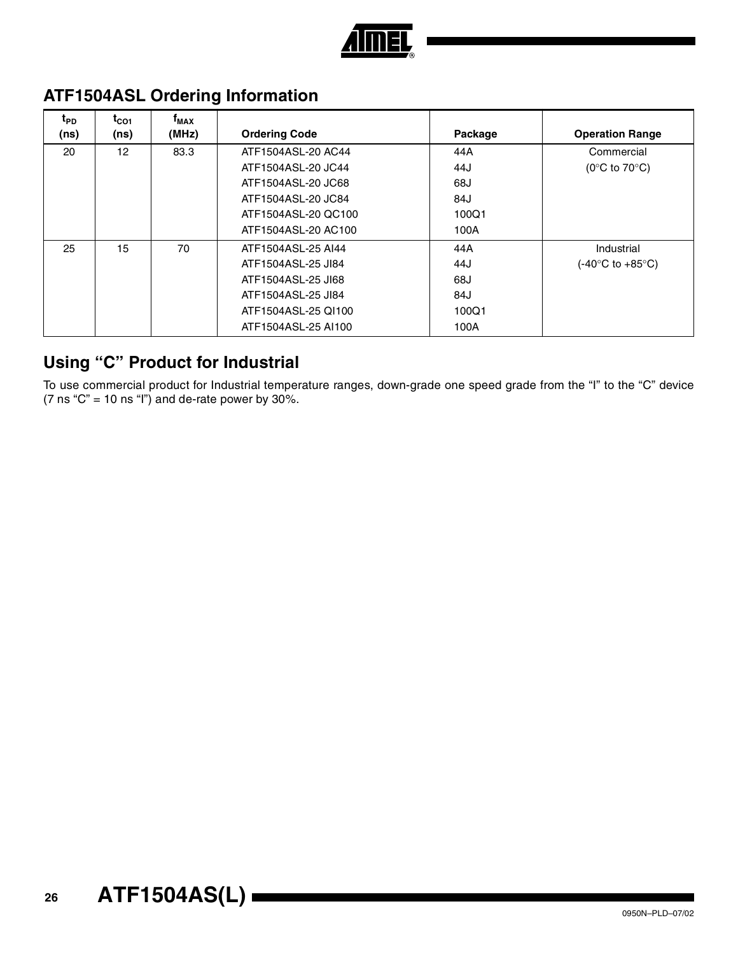

| t <sub>PD</sub><br>(ns) | $t_{CO1}$<br>(ns) | $f_{MAX}$<br>(MHz) | <b>Ordering Code</b> | Package | <b>Operation Range</b>               |
|-------------------------|-------------------|--------------------|----------------------|---------|--------------------------------------|
| 20                      | 12                | 83.3               | ATF1504ASL-20 AC44   | 44A     | Commercial                           |
|                         |                   |                    | ATF1504ASL-20 JC44   | 44J     | (0 $\degree$ C to 70 $\degree$ C)    |
|                         |                   |                    | ATF1504ASL-20 JC68   | 68J     |                                      |
|                         |                   |                    | ATF1504ASL-20 JC84   | 84J     |                                      |
|                         |                   |                    | ATF1504ASL-20 QC100  | 100Q1   |                                      |
|                         |                   |                    | ATF1504ASL-20 AC100  | 100A    |                                      |
| 25                      | 15                | 70                 | ATF1504ASL-25 AI44   | 44 A    | Industrial                           |
|                         |                   |                    | ATF1504ASL-25 JI84   | 44J     | $(-40^{\circ}$ C to $+85^{\circ}$ C) |
|                         |                   |                    | ATF1504ASL-25 JI68   | 68J     |                                      |
|                         |                   |                    | ATF1504ASL-25 JI84   | 84J     |                                      |
|                         |                   |                    | ATF1504ASL-25 QI100  | 100Q1   |                                      |
|                         |                   |                    | ATF1504ASL-25 AI100  | 100A    |                                      |

## **ATF1504ASL Ordering Information**

## **Using "C" Product for Industrial**

To use commercial product for Industrial temperature ranges, down-grade one speed grade from the "I" to the "C" device (7 ns " $C$ " = 10 ns "l") and de-rate power by 30%.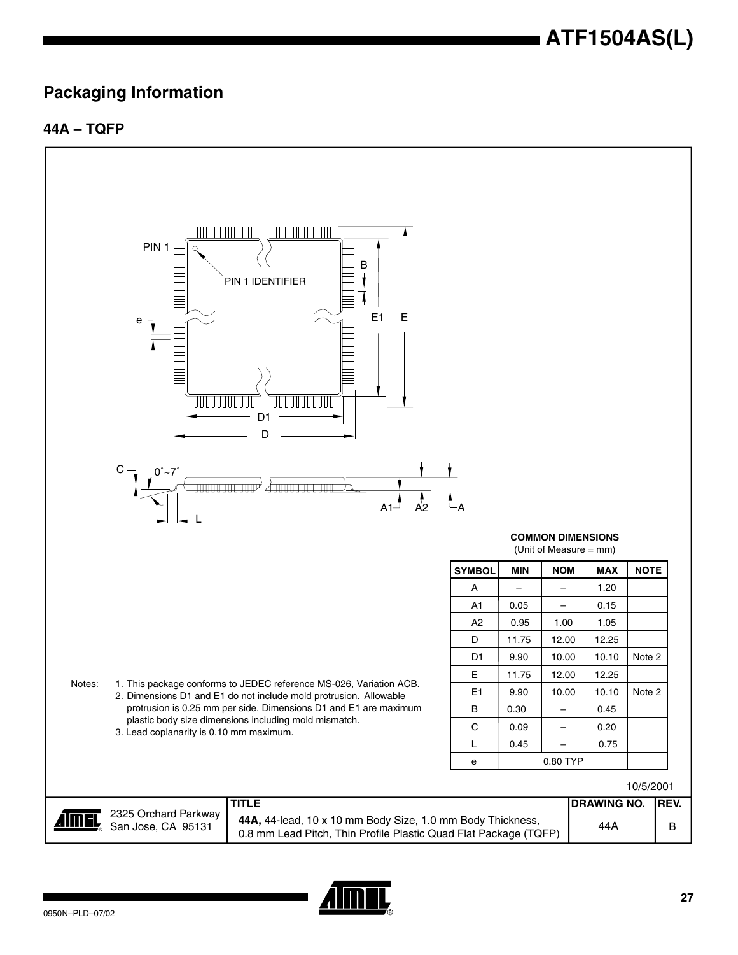### **Packaging Information**

#### **44A – TQFP**



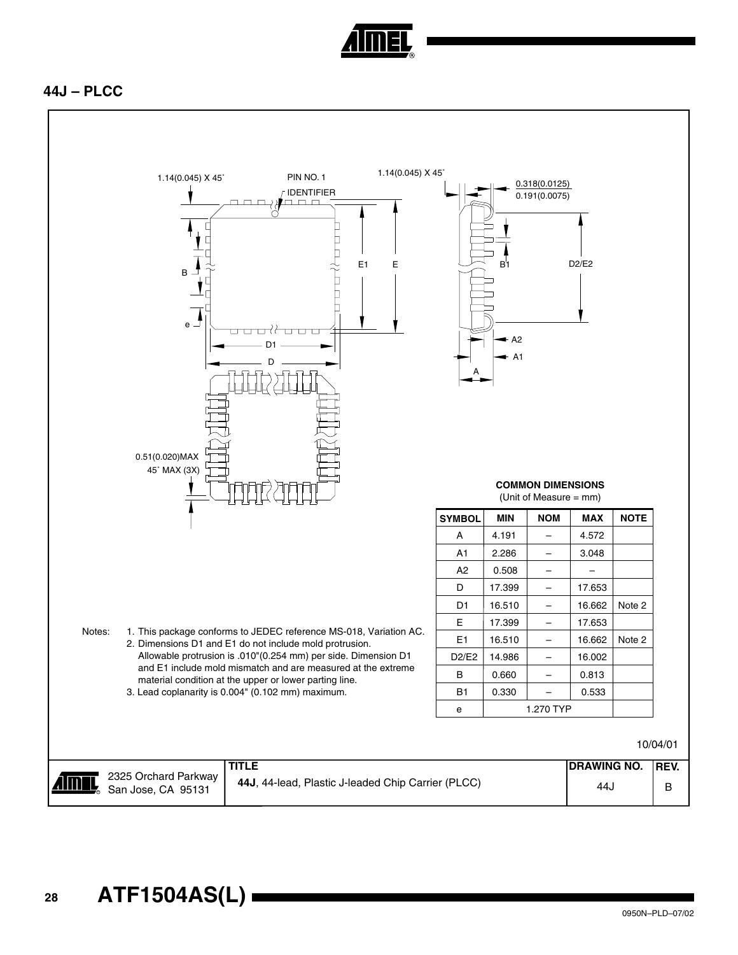

#### **44J – PLCC**

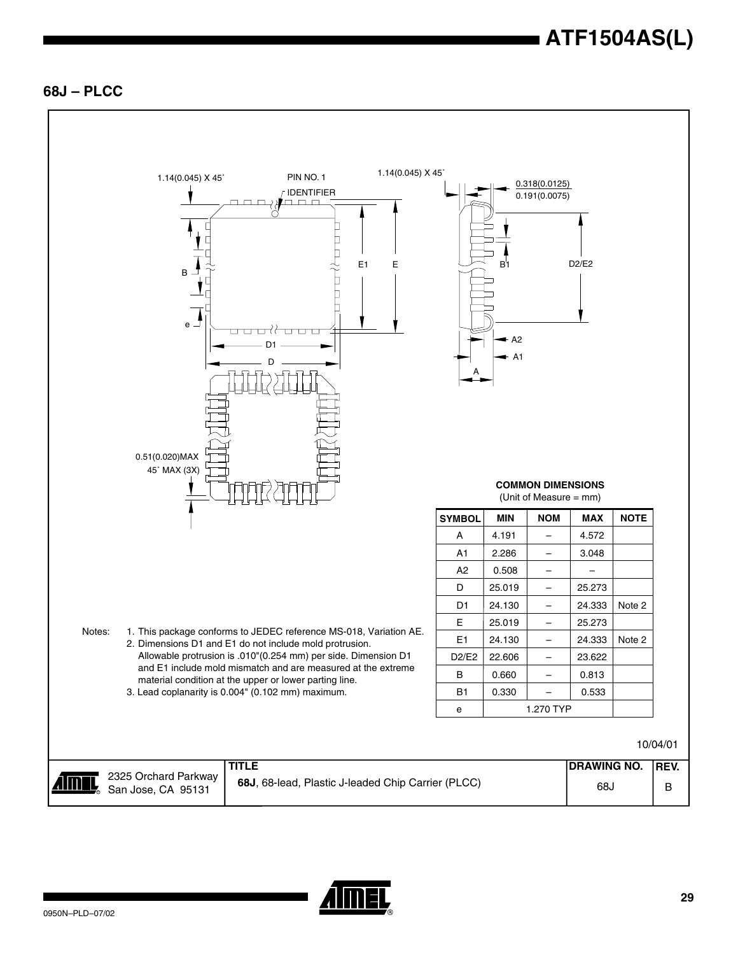#### **68J – PLCC**



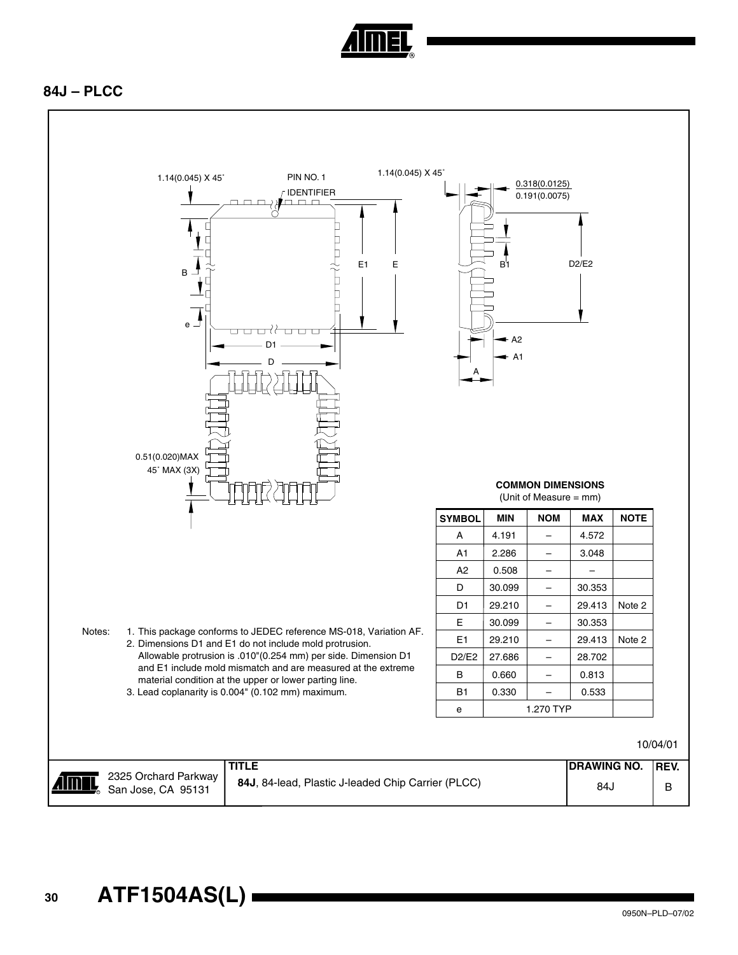

#### **84J – PLCC**

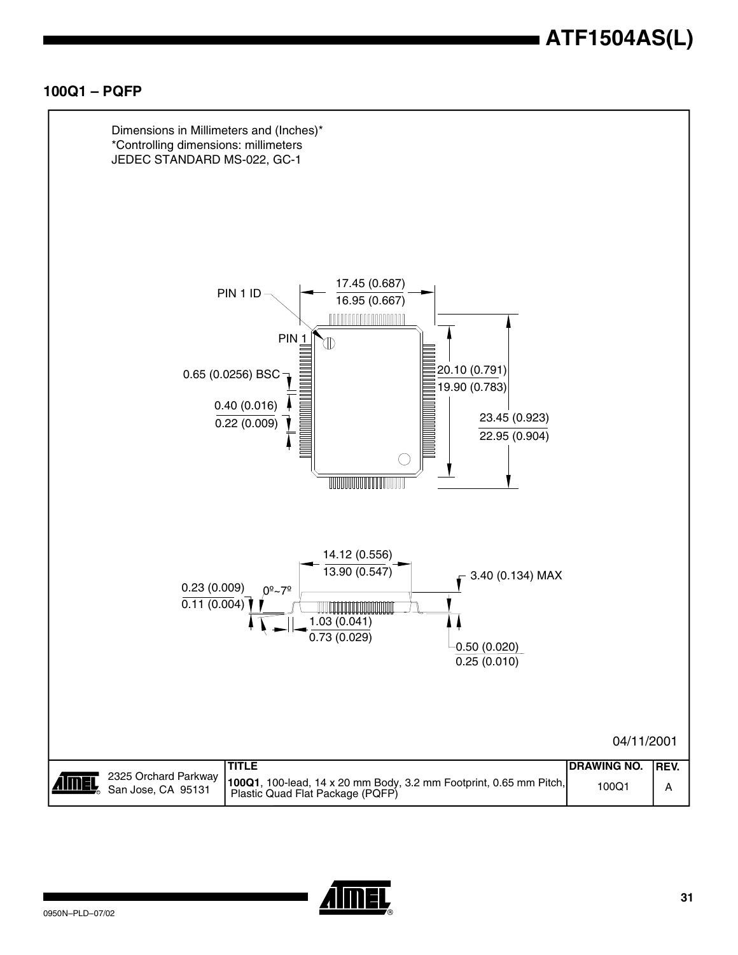#### **100Q1 – PQFP**



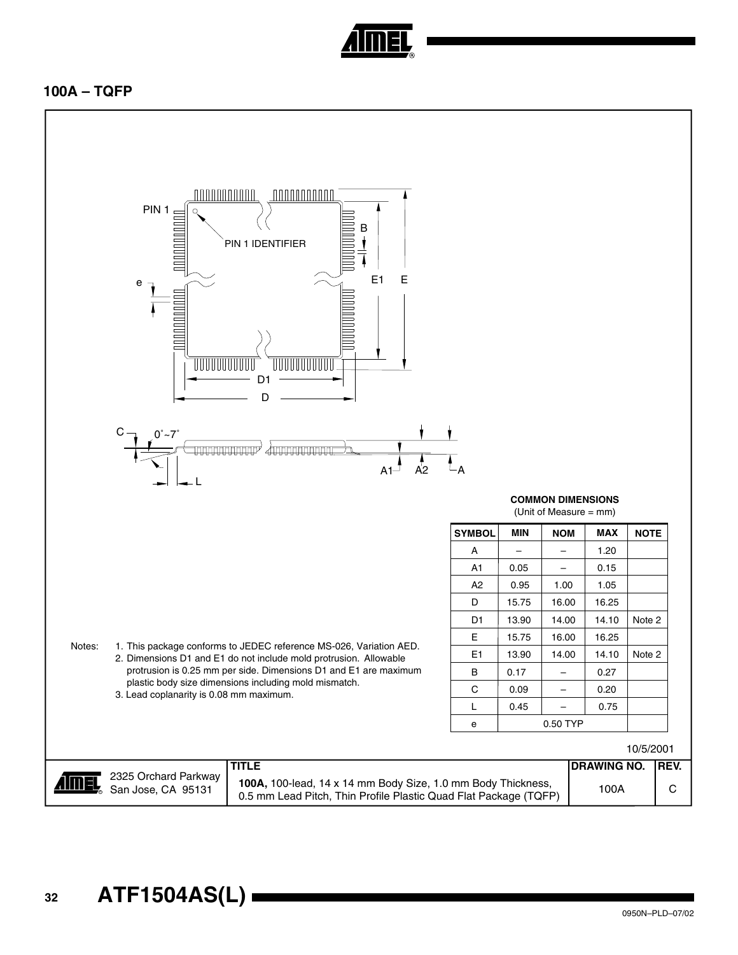

#### **100A – TQFP**